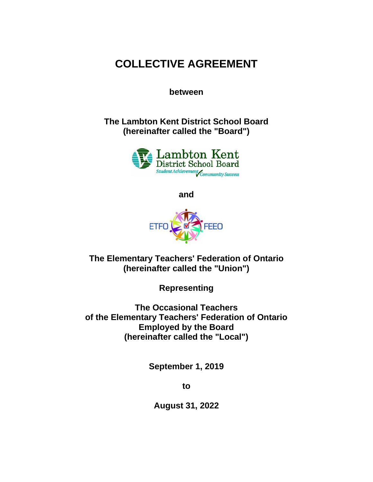# **COLLECTIVE AGREEMENT**

**between**

**The Lambton Kent District School Board (hereinafter called the "Board")**



**and**



**The Elementary Teachers' Federation of Ontario (hereinafter called the "Union")**

**Representing**

**The Occasional Teachers of the Elementary Teachers' Federation of Ontario Employed by the Board (hereinafter called the "Local")**

**September 1, 2019**

**to**

**August 31, 2022**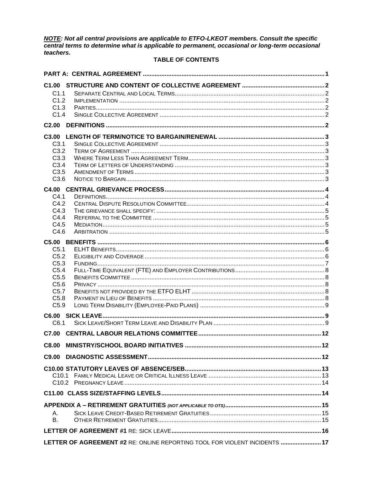NOTE: Not all central provisions are applicable to ETFO-LKEOT members. Consult the specific<br>central terms to determine what is applicable to permanent, occasional or long-term occasional teachers.

# **TABLE OF CONTENTS**

| C <sub>1.1</sub>  |                                                                            |  |
|-------------------|----------------------------------------------------------------------------|--|
| C1.2              |                                                                            |  |
| C1.3              |                                                                            |  |
| C1.4              |                                                                            |  |
| C <sub>2.00</sub> |                                                                            |  |
|                   |                                                                            |  |
| C <sub>3.1</sub>  |                                                                            |  |
| C3.2              |                                                                            |  |
| C3.3              |                                                                            |  |
| C3.4              |                                                                            |  |
| C3.5              |                                                                            |  |
| C3.6              |                                                                            |  |
|                   |                                                                            |  |
| C4.1              |                                                                            |  |
| C4.2              |                                                                            |  |
| C4.3              |                                                                            |  |
| C4.4              |                                                                            |  |
| C4.5              |                                                                            |  |
| C4.6              |                                                                            |  |
|                   |                                                                            |  |
| C <sub>5.1</sub>  |                                                                            |  |
| C5.2              |                                                                            |  |
| C5.3              |                                                                            |  |
| C <sub>5.4</sub>  |                                                                            |  |
| C5.5              |                                                                            |  |
| C5.6              |                                                                            |  |
| C5.7              |                                                                            |  |
| C5.8              |                                                                            |  |
| C5.9              |                                                                            |  |
|                   |                                                                            |  |
| C6.1              |                                                                            |  |
| C7.00             |                                                                            |  |
|                   |                                                                            |  |
| C8.00             |                                                                            |  |
| C9.00             |                                                                            |  |
|                   |                                                                            |  |
|                   |                                                                            |  |
|                   |                                                                            |  |
|                   |                                                                            |  |
|                   |                                                                            |  |
|                   |                                                                            |  |
| А.                |                                                                            |  |
| В.                |                                                                            |  |
|                   |                                                                            |  |
|                   | LETTER OF AGREEMENT #2 RE: ONLINE REPORTING TOOL FOR VIOLENT INCIDENTS  17 |  |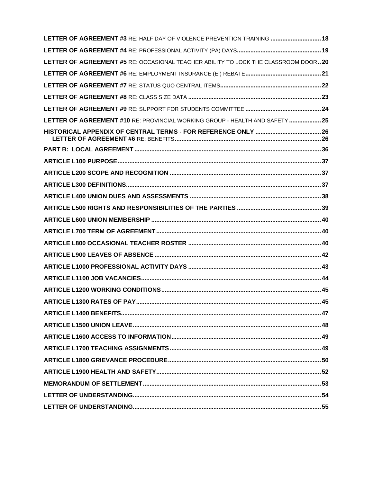| LETTER OF AGREEMENT #3 RE: HALF DAY OF VIOLENCE PREVENTION TRAINING  18            |  |
|------------------------------------------------------------------------------------|--|
|                                                                                    |  |
| LETTER OF AGREEMENT #5 RE: OCCASIONAL TEACHER ABILITY TO LOCK THE CLASSROOM DOOR20 |  |
|                                                                                    |  |
|                                                                                    |  |
|                                                                                    |  |
|                                                                                    |  |
| LETTER OF AGREEMENT #10 RE: PROVINCIAL WORKING GROUP - HEALTH AND SAFETY  25       |  |
|                                                                                    |  |
|                                                                                    |  |
|                                                                                    |  |
|                                                                                    |  |
|                                                                                    |  |
|                                                                                    |  |
|                                                                                    |  |
|                                                                                    |  |
|                                                                                    |  |
|                                                                                    |  |
|                                                                                    |  |
|                                                                                    |  |
|                                                                                    |  |
|                                                                                    |  |
|                                                                                    |  |
|                                                                                    |  |
|                                                                                    |  |
|                                                                                    |  |
|                                                                                    |  |
|                                                                                    |  |
|                                                                                    |  |
|                                                                                    |  |
|                                                                                    |  |
|                                                                                    |  |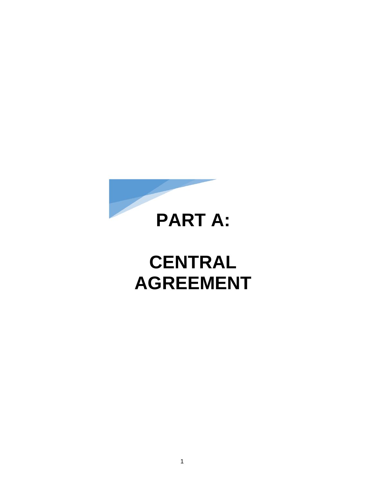

# **CENTRAL AGREEMENT**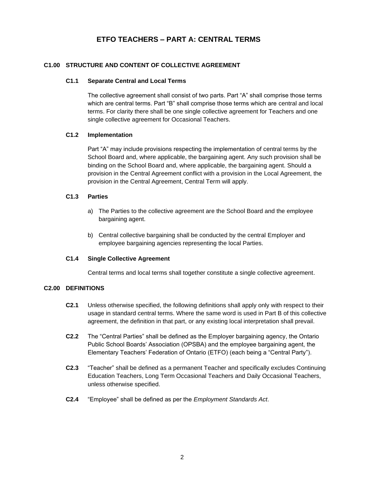# **ETFO TEACHERS – PART A: CENTRAL TERMS**

# <span id="page-4-1"></span><span id="page-4-0"></span>**C1.00 STRUCTURE AND CONTENT OF COLLECTIVE AGREEMENT**

### **C1.1 Separate Central and Local Terms**

The collective agreement shall consist of two parts. Part "A" shall comprise those terms which are central terms. Part "B" shall comprise those terms which are central and local terms. For clarity there shall be one single collective agreement for Teachers and one single collective agreement for Occasional Teachers.

### <span id="page-4-2"></span>**C1.2 Implementation**

Part "A" may include provisions respecting the implementation of central terms by the School Board and, where applicable, the bargaining agent. Any such provision shall be binding on the School Board and, where applicable, the bargaining agent. Should a provision in the Central Agreement conflict with a provision in the Local Agreement, the provision in the Central Agreement, Central Term will apply.

### <span id="page-4-3"></span>**C1.3 Parties**

- a) The Parties to the collective agreement are the School Board and the employee bargaining agent.
- b) Central collective bargaining shall be conducted by the central Employer and employee bargaining agencies representing the local Parties.

### <span id="page-4-4"></span>**C1.4 Single Collective Agreement**

Central terms and local terms shall together constitute a single collective agreement.

### <span id="page-4-5"></span>**C2.00 DEFINITIONS**

- **C2.1** Unless otherwise specified, the following definitions shall apply only with respect to their usage in standard central terms. Where the same word is used in Part B of this collective agreement, the definition in that part, or any existing local interpretation shall prevail.
- **C2.2** The "Central Parties" shall be defined as the Employer bargaining agency, the Ontario Public School Boards' Association (OPSBA) and the employee bargaining agent, the Elementary Teachers' Federation of Ontario (ETFO) (each being a "Central Party").
- **C2.3** "Teacher" shall be defined as a permanent Teacher and specifically excludes Continuing Education Teachers, Long Term Occasional Teachers and Daily Occasional Teachers, unless otherwise specified.
- **C2.4** "Employee" shall be defined as per the *Employment Standards Act*.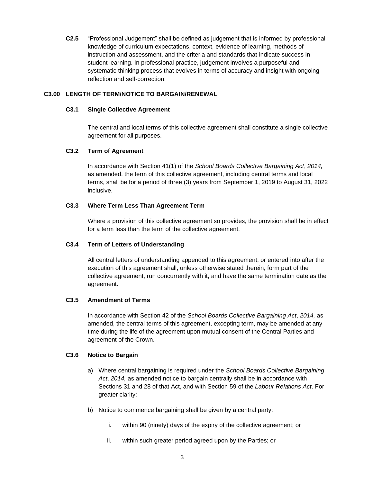**C2.5** "Professional Judgement" shall be defined as judgement that is informed by professional knowledge of curriculum expectations, context, evidence of learning, methods of instruction and assessment, and the criteria and standards that indicate success in student learning. In professional practice, judgement involves a purposeful and systematic thinking process that evolves in terms of accuracy and insight with ongoing reflection and self-correction.

# <span id="page-5-1"></span><span id="page-5-0"></span>**C3.00 LENGTH OF TERM/NOTICE TO BARGAIN/RENEWAL**

## **C3.1 Single Collective Agreement**

The central and local terms of this collective agreement shall constitute a single collective agreement for all purposes.

# <span id="page-5-2"></span>**C3.2 Term of Agreement**

In accordance with Section 41(1) of the *School Boards Collective Bargaining Act*, *2014,* as amended, the term of this collective agreement, including central terms and local terms, shall be for a period of three (3) years from September 1, 2019 to August 31, 2022 inclusive.

## <span id="page-5-3"></span>**C3.3 Where Term Less Than Agreement Term**

Where a provision of this collective agreement so provides, the provision shall be in effect for a term less than the term of the collective agreement.

# <span id="page-5-4"></span>**C3.4 Term of Letters of Understanding**

All central letters of understanding appended to this agreement, or entered into after the execution of this agreement shall, unless otherwise stated therein, form part of the collective agreement, run concurrently with it, and have the same termination date as the agreement.

# <span id="page-5-5"></span>**C3.5 Amendment of Terms**

In accordance with Section 42 of the *School Boards Collective Bargaining Act*, *2014,* as amended, the central terms of this agreement, excepting term, may be amended at any time during the life of the agreement upon mutual consent of the Central Parties and agreement of the Crown.

# <span id="page-5-6"></span>**C3.6 Notice to Bargain**

- a) Where central bargaining is required under the *School Boards Collective Bargaining*  Act, 2014, as amended notice to bargain centrally shall be in accordance with Sections 31 and 28 of that Act, and with Section 59 of the *Labour Relations Act*. For greater clarity:
- b) Notice to commence bargaining shall be given by a central party:
	- i. within 90 (ninety) days of the expiry of the collective agreement; or
	- ii. within such greater period agreed upon by the Parties; or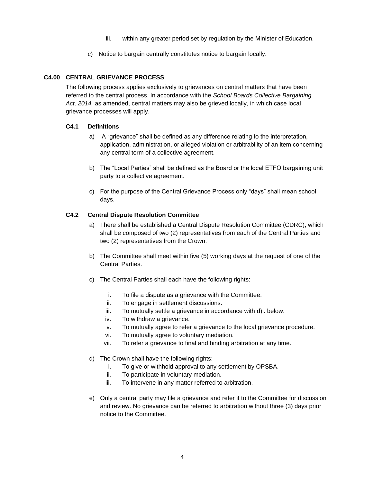- iii. within any greater period set by regulation by the Minister of Education.
- c) Notice to bargain centrally constitutes notice to bargain locally.

# <span id="page-6-0"></span>**C4.00 CENTRAL GRIEVANCE PROCESS**

The following process applies exclusively to grievances on central matters that have been referred to the central process. In accordance with the *School Boards Collective Bargaining Act, 2014,* as amended, central matters may also be grieved locally, in which case local grievance processes will apply.

## <span id="page-6-1"></span>**C4.1 Definitions**

- a) A "grievance" shall be defined as any difference relating to the interpretation, application, administration, or alleged violation or arbitrability of an item concerning any central term of a collective agreement.
- b) The "Local Parties" shall be defined as the Board or the local ETFO bargaining unit party to a collective agreement.
- c) For the purpose of the Central Grievance Process only "days" shall mean school days.

# <span id="page-6-2"></span>**C4.2 Central Dispute Resolution Committee**

- a) There shall be established a Central Dispute Resolution Committee (CDRC), which shall be composed of two (2) representatives from each of the Central Parties and two (2) representatives from the Crown.
- b) The Committee shall meet within five (5) working days at the request of one of the Central Parties.
- c) The Central Parties shall each have the following rights:
	- i. To file a dispute as a grievance with the Committee.
	- ii. To engage in settlement discussions.
	- iii. To mutually settle a grievance in accordance with d)i. below.
	- iv. To withdraw a grievance.
	- v. To mutually agree to refer a grievance to the local grievance procedure.
	- vi. To mutually agree to voluntary mediation.
	- vii. To refer a grievance to final and binding arbitration at any time.
- d) The Crown shall have the following rights:
	- i. To give or withhold approval to any settlement by OPSBA.
	- ii. To participate in voluntary mediation.
	- iii. To intervene in any matter referred to arbitration.
- e) Only a central party may file a grievance and refer it to the Committee for discussion and review. No grievance can be referred to arbitration without three (3) days prior notice to the Committee.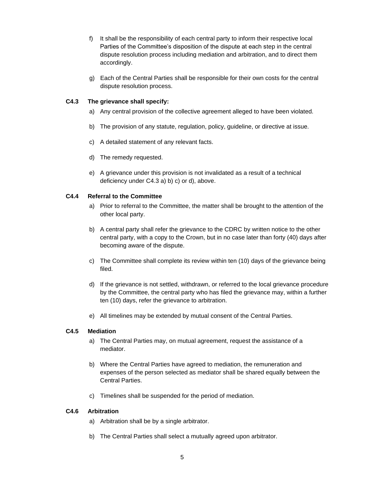- f) It shall be the responsibility of each central party to inform their respective local Parties of the Committee's disposition of the dispute at each step in the central dispute resolution process including mediation and arbitration, and to direct them accordingly.
- g) Each of the Central Parties shall be responsible for their own costs for the central dispute resolution process.

## <span id="page-7-0"></span>**C4.3 The grievance shall specify:**

- a) Any central provision of the collective agreement alleged to have been violated.
- b) The provision of any statute, regulation, policy, guideline, or directive at issue.
- c) A detailed statement of any relevant facts.
- d) The remedy requested.
- e) A grievance under this provision is not invalidated as a result of a technical deficiency under C4.3 a) b) c) or d), above.

## <span id="page-7-1"></span>**C4.4 Referral to the Committee**

- a) Prior to referral to the Committee, the matter shall be brought to the attention of the other local party.
- b) A central party shall refer the grievance to the CDRC by written notice to the other central party, with a copy to the Crown, but in no case later than forty (40) days after becoming aware of the dispute.
- c) The Committee shall complete its review within ten (10) days of the grievance being filed.
- d) If the grievance is not settled, withdrawn, or referred to the local grievance procedure by the Committee, the central party who has filed the grievance may, within a further ten (10) days, refer the grievance to arbitration.
- e) All timelines may be extended by mutual consent of the Central Parties.

# <span id="page-7-2"></span>**C4.5 Mediation**

- a) The Central Parties may, on mutual agreement, request the assistance of a mediator.
- b) Where the Central Parties have agreed to mediation, the remuneration and expenses of the person selected as mediator shall be shared equally between the Central Parties.
- c) Timelines shall be suspended for the period of mediation.

### <span id="page-7-3"></span>**C4.6 Arbitration**

- a) Arbitration shall be by a single arbitrator.
- b) The Central Parties shall select a mutually agreed upon arbitrator.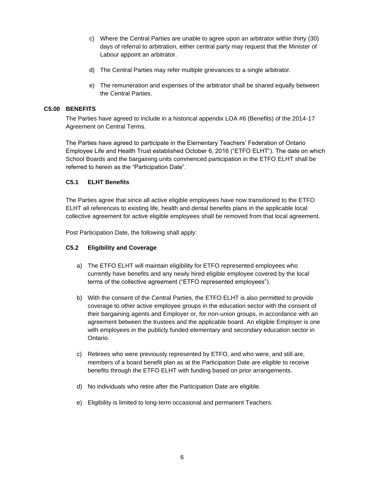- c) Where the Central Parties are unable to agree upon an arbitrator within thirty (30) days of referral to arbitration, either central party may request that the Minister of Labour appoint an arbitrator.
- d) The Central Parties may refer multiple grievances to a single arbitrator.
- e) The remuneration and expenses of the arbitrator shall be shared equally between the Central Parties.

# <span id="page-8-0"></span>**C5.00 BENEFITS**

The Parties have agreed to include in a historical appendix LOA #6 (Benefits) of the 2014-17 Agreement on Central Terms.

The Parties have agreed to participate in the Elementary Teachers' Federation of Ontario Employee Life and Health Trust established October 6, 2016 ("ETFO ELHT"). The date on which School Boards and the bargaining units commenced participation in the ETFO ELHT shall be referred to herein as the "Participation Date".

## <span id="page-8-1"></span>**C5.1 ELHT Benefits**

The Parties agree that since all active eligible employees have now transitioned to the ETFO ELHT all references to existing life, health and dental benefits plans in the applicable local collective agreement for active eligible employees shall be removed from that local agreement.

Post Participation Date, the following shall apply:

# <span id="page-8-2"></span>**C5.2 Eligibility and Coverage**

- a) The ETFO ELHT will maintain eligibility for ETFO represented employees who currently have benefits and any newly hired eligible employee covered by the local terms of the collective agreement ("ETFO represented employees").
- b) With the consent of the Central Parties, the ETFO ELHT is also permitted to provide coverage to other active employee groups in the education sector with the consent of their bargaining agents and Employer or, for non-union groups, in accordance with an agreement between the trustees and the applicable board. An eligible Employer is one with employees in the publicly funded elementary and secondary education sector in Ontario.
- c) Retirees who were previously represented by ETFO, and who were, and still are, members of a board benefit plan as at the Participation Date are eligible to receive benefits through the ETFO ELHT with funding based on prior arrangements.
- d) No individuals who retire after the Participation Date are eligible.
- e) Eligibility is limited to long-term occasional and permanent Teachers.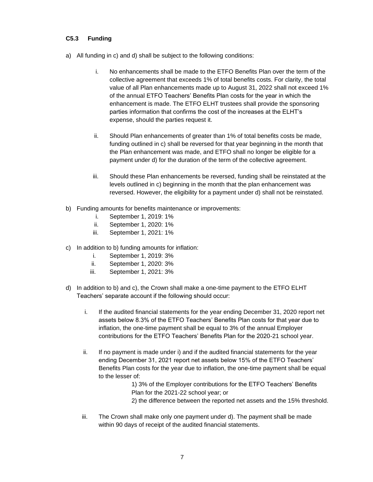# <span id="page-9-0"></span>**C5.3 Funding**

- a) All funding in c) and d) shall be subject to the following conditions:
	- i. No enhancements shall be made to the ETFO Benefits Plan over the term of the collective agreement that exceeds 1% of total benefits costs. For clarity, the total value of all Plan enhancements made up to August 31, 2022 shall not exceed 1% of the annual ETFO Teachers' Benefits Plan costs for the year in which the enhancement is made. The ETFO ELHT trustees shall provide the sponsoring parties information that confirms the cost of the increases at the ELHT's expense, should the parties request it.
	- ii. Should Plan enhancements of greater than 1% of total benefits costs be made, funding outlined in c) shall be reversed for that year beginning in the month that the Plan enhancement was made, and ETFO shall no longer be eligible for a payment under d) for the duration of the term of the collective agreement.
	- iii. Should these Plan enhancements be reversed, funding shall be reinstated at the levels outlined in c) beginning in the month that the plan enhancement was reversed. However, the eligibility for a payment under d) shall not be reinstated.
- b) Funding amounts for benefits maintenance or improvements:
	- i. September 1, 2019: 1%
	- ii. September 1, 2020: 1%
	- iii. September 1, 2021: 1%
- c) In addition to b) funding amounts for inflation:
	- i. September 1, 2019: 3%
	- ii. September 1, 2020: 3%
	- iii. September 1, 2021: 3%
- d) In addition to b) and c), the Crown shall make a one-time payment to the ETFO ELHT Teachers' separate account if the following should occur:
	- i. If the audited financial statements for the year ending December 31, 2020 report net assets below 8.3% of the ETFO Teachers' Benefits Plan costs for that year due to inflation, the one-time payment shall be equal to 3% of the annual Employer contributions for the ETFO Teachers' Benefits Plan for the 2020-21 school year.
	- ii. If no payment is made under i) and if the audited financial statements for the year ending December 31, 2021 report net assets below 15% of the ETFO Teachers' Benefits Plan costs for the year due to inflation, the one-time payment shall be equal to the lesser of:

1) 3% of the Employer contributions for the ETFO Teachers' Benefits Plan for the 2021-22 school year; or 2) the difference between the reported net assets and the 15% threshold.

iii. The Crown shall make only one payment under d). The payment shall be made within 90 days of receipt of the audited financial statements.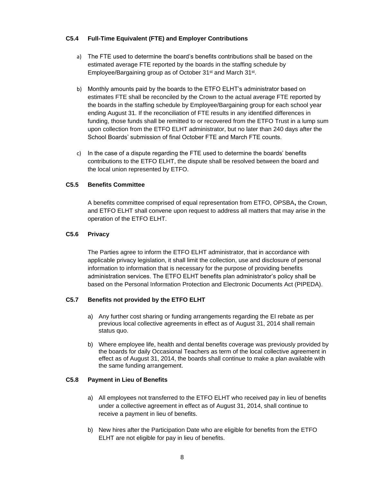# <span id="page-10-0"></span>**C5.4 Full-Time Equivalent (FTE) and Employer Contributions**

- a) The FTE used to determine the board's benefits contributions shall be based on the estimated average FTE reported by the boards in the staffing schedule by Employee/Bargaining group as of October 31<sup>st</sup> and March 31<sup>st</sup>.
- b) Monthly amounts paid by the boards to the ETFO ELHT's administrator based on estimates FTE shall be reconciled by the Crown to the actual average FTE reported by the boards in the staffing schedule by Employee/Bargaining group for each school year ending August 31. If the reconciliation of FTE results in any identified differences in funding, those funds shall be remitted to or recovered from the ETFO Trust in a lump sum upon collection from the ETFO ELHT administrator, but no later than 240 days after the School Boards' submission of final October FTE and March FTE counts.
- c) In the case of a dispute regarding the FTE used to determine the boards' benefits contributions to the ETFO ELHT, the dispute shall be resolved between the board and the local union represented by ETFO.

## <span id="page-10-1"></span>**C5.5 Benefits Committee**

A benefits committee comprised of equal representation from ETFO, OPSBA**,** the Crown, and ETFO ELHT shall convene upon request to address all matters that may arise in the operation of the ETFO ELHT.

# <span id="page-10-2"></span>**C5.6 Privacy**

The Parties agree to inform the ETFO ELHT administrator, that in accordance with applicable privacy legislation, it shall limit the collection, use and disclosure of personal information to information that is necessary for the purpose of providing benefits administration services. The ETFO ELHT benefits plan administrator's policy shall be based on the Personal Information Protection and Electronic Documents Act (PIPEDA).

# <span id="page-10-3"></span>**C5.7 Benefits not provided by the ETFO ELHT**

- a) Any further cost sharing or funding arrangements regarding the EI rebate as per previous local collective agreements in effect as of August 31, 2014 shall remain status quo.
- b) Where employee life, health and dental benefits coverage was previously provided by the boards for daily Occasional Teachers as term of the local collective agreement in effect as of August 31, 2014, the boards shall continue to make a plan available with the same funding arrangement.

### <span id="page-10-4"></span>**C5.8 Payment in Lieu of Benefits**

- a) All employees not transferred to the ETFO ELHT who received pay in lieu of benefits under a collective agreement in effect as of August 31, 2014, shall continue to receive a payment in lieu of benefits.
- b) New hires after the Participation Date who are eligible for benefits from the ETFO ELHT are not eligible for pay in lieu of benefits.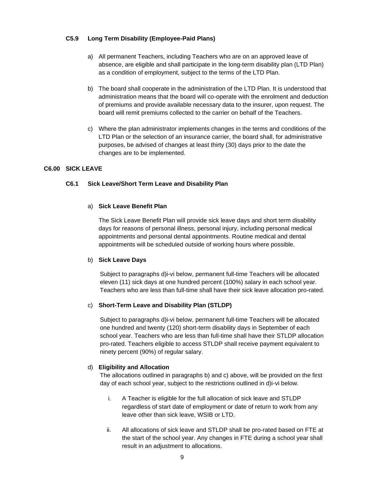### <span id="page-11-0"></span>**C5.9 Long Term Disability (Employee-Paid Plans)**

- a) All permanent Teachers, including Teachers who are on an approved leave of absence, are eligible and shall participate in the long-term disability plan (LTD Plan) as a condition of employment, subject to the terms of the LTD Plan.
- b) The board shall cooperate in the administration of the LTD Plan. It is understood that administration means that the board will co-operate with the enrolment and deduction of premiums and provide available necessary data to the insurer, upon request. The board will remit premiums collected to the carrier on behalf of the Teachers.
- c) Where the plan administrator implements changes in the terms and conditions of the LTD Plan or the selection of an insurance carrier, the board shall, for administrative purposes, be advised of changes at least thirty (30) days prior to the date the changes are to be implemented.

# <span id="page-11-2"></span><span id="page-11-1"></span>**C6.00 SICK LEAVE**

## **C6.1 Sick Leave/Short Term Leave and Disability Plan**

### a) **Sick Leave Benefit Plan**

The Sick Leave Benefit Plan will provide sick leave days and short term disability days for reasons of personal illness, personal injury, including personal medical appointments and personal dental appointments. Routine medical and dental appointments will be scheduled outside of working hours where possible.

### b) **Sick Leave Days**

Subject to paragraphs d)i-vi below, permanent full-time Teachers will be allocated eleven (11) sick days at one hundred percent (100%) salary in each school year. Teachers who are less than full-time shall have their sick leave allocation pro-rated.

# c) **Short-Term Leave and Disability Plan (STLDP)**

Subject to paragraphs d)i-vi below, permanent full-time Teachers will be allocated one hundred and twenty (120) short-term disability days in September of each school year. Teachers who are less than full-time shall have their STLDP allocation pro-rated. Teachers eligible to access STLDP shall receive payment equivalent to ninety percent (90%) of regular salary.

# d) **Eligibility and Allocation**

The allocations outlined in paragraphs b) and c) above, will be provided on the first day of each school year, subject to the restrictions outlined in d)i-vi below.

- i. A Teacher is eligible for the full allocation of sick leave and STLDP regardless of start date of employment or date of return to work from any leave other than sick leave, WSIB or LTD.
- ii. All allocations of sick leave and STLDP shall be pro-rated based on FTE at the start of the school year. Any changes in FTE during a school year shall result in an adjustment to allocations.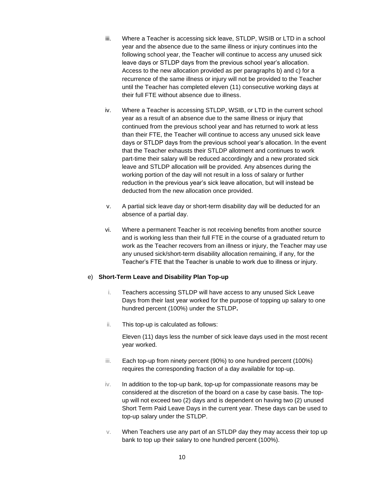- iii. Where a Teacher is accessing sick leave, STLDP, WSIB or LTD in a school year and the absence due to the same illness or injury continues into the following school year, the Teacher will continue to access any unused sick leave days or STLDP days from the previous school year's allocation. Access to the new allocation provided as per paragraphs b) and c) for a recurrence of the same illness or injury will not be provided to the Teacher until the Teacher has completed eleven (11) consecutive working days at their full FTE without absence due to illness.
- iv. Where a Teacher is accessing STLDP, WSIB, or LTD in the current school year as a result of an absence due to the same illness or injury that continued from the previous school year and has returned to work at less than their FTE, the Teacher will continue to access any unused sick leave days or STLDP days from the previous school year's allocation. In the event that the Teacher exhausts their STLDP allotment and continues to work part-time their salary will be reduced accordingly and a new prorated sick leave and STLDP allocation will be provided. Any absences during the working portion of the day will not result in a loss of salary or further reduction in the previous year's sick leave allocation, but will instead be deducted from the new allocation once provided.
- v. A partial sick leave day or short-term disability day will be deducted for an absence of a partial day.
- vi. Where a permanent Teacher is not receiving benefits from another source and is working less than their full FTE in the course of a graduated return to work as the Teacher recovers from an illness or injury, the Teacher may use any unused sick/short-term disability allocation remaining, if any, for the Teacher's FTE that the Teacher is unable to work due to illness or injury.

### e) **Short-Term Leave and Disability Plan Top-up**

- i. Teachers accessing STLDP will have access to any unused Sick Leave Days from their last year worked for the purpose of topping up salary to one hundred percent (100%) under the STLDP**.**
- ii. This top-up is calculated as follows:

Eleven (11) days less the number of sick leave days used in the most recent year worked.

- iii. Each top-up from ninety percent (90%) to one hundred percent (100%) requires the corresponding fraction of a day available for top-up.
- iv. In addition to the top-up bank, top-up for compassionate reasons may be considered at the discretion of the board on a case by case basis. The topup will not exceed two (2) days and is dependent on having two (2) unused Short Term Paid Leave Days in the current year. These days can be used to top-up salary under the STLDP.
- v. When Teachers use any part of an STLDP day they may access their top up bank to top up their salary to one hundred percent (100%).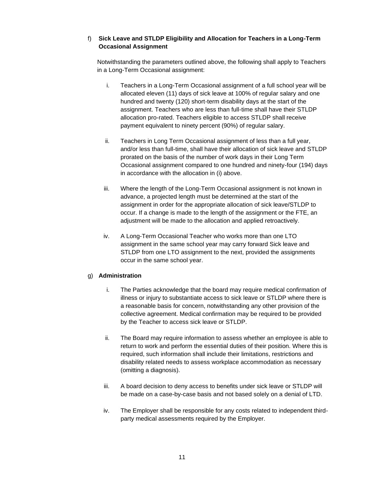# f) **Sick Leave and STLDP Eligibility and Allocation for Teachers in a Long-Term Occasional Assignment**

Notwithstanding the parameters outlined above, the following shall apply to Teachers in a Long-Term Occasional assignment:

- i. Teachers in a Long-Term Occasional assignment of a full school year will be allocated eleven (11) days of sick leave at 100% of regular salary and one hundred and twenty (120) short-term disability days at the start of the assignment. Teachers who are less than full-time shall have their STLDP allocation pro-rated. Teachers eligible to access STLDP shall receive payment equivalent to ninety percent (90%) of regular salary.
- ii. Teachers in Long Term Occasional assignment of less than a full year, and/or less than full-time, shall have their allocation of sick leave and STLDP prorated on the basis of the number of work days in their Long Term Occasional assignment compared to one hundred and ninety-four (194) days in accordance with the allocation in (i) above.
- iii. Where the length of the Long-Term Occasional assignment is not known in advance, a projected length must be determined at the start of the assignment in order for the appropriate allocation of sick leave/STLDP to occur. If a change is made to the length of the assignment or the FTE, an adjustment will be made to the allocation and applied retroactively.
- iv. A Long-Term Occasional Teacher who works more than one LTO assignment in the same school year may carry forward Sick leave and STLDP from one LTO assignment to the next, provided the assignments occur in the same school year.

# g) **Administration**

- i. The Parties acknowledge that the board may require medical confirmation of illness or injury to substantiate access to sick leave or STLDP where there is a reasonable basis for concern, notwithstanding any other provision of the collective agreement. Medical confirmation may be required to be provided by the Teacher to access sick leave or STLDP.
- ii. The Board may require information to assess whether an employee is able to return to work and perform the essential duties of their position. Where this is required, such information shall include their limitations, restrictions and disability related needs to assess workplace accommodation as necessary (omitting a diagnosis).
- iii. A board decision to deny access to benefits under sick leave or STLDP will be made on a case-by-case basis and not based solely on a denial of LTD.
- iv. The Employer shall be responsible for any costs related to independent thirdparty medical assessments required by the Employer.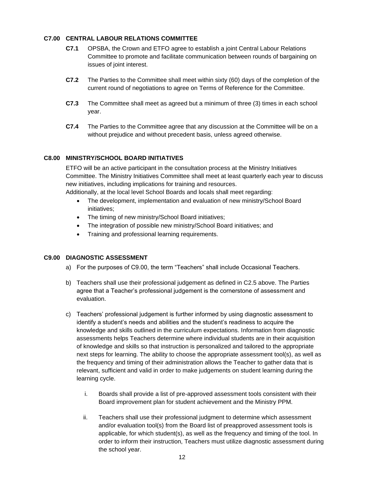# <span id="page-14-0"></span>**C7.00 CENTRAL LABOUR RELATIONS COMMITTEE**

- **C7.1** OPSBA, the Crown and ETFO agree to establish a joint Central Labour Relations Committee to promote and facilitate communication between rounds of bargaining on issues of joint interest.
- **C7.2** The Parties to the Committee shall meet within sixty (60) days of the completion of the current round of negotiations to agree on Terms of Reference for the Committee.
- **C7.3** The Committee shall meet as agreed but a minimum of three (3) times in each school year.
- **C7.4** The Parties to the Committee agree that any discussion at the Committee will be on a without prejudice and without precedent basis, unless agreed otherwise.

## <span id="page-14-1"></span>**C8.00 MINISTRY/SCHOOL BOARD INITIATIVES**

ETFO will be an active participant in the consultation process at the Ministry Initiatives Committee. The Ministry Initiatives Committee shall meet at least quarterly each year to discuss new initiatives, including implications for training and resources.

Additionally, at the local level School Boards and locals shall meet regarding:

- The development, implementation and evaluation of new ministry/School Board initiatives;
- The timing of new ministry/School Board initiatives;
- The integration of possible new ministry/School Board initiatives; and
- Training and professional learning requirements.

### <span id="page-14-2"></span>**C9.00 DIAGNOSTIC ASSESSMENT**

- a) For the purposes of C9.00, the term "Teachers" shall include Occasional Teachers.
- b) Teachers shall use their professional judgement as defined in C2.5 above. The Parties agree that a Teacher's professional judgement is the cornerstone of assessment and evaluation.
- c) Teachers' professional judgement is further informed by using diagnostic assessment to identify a student's needs and abilities and the student's readiness to acquire the knowledge and skills outlined in the curriculum expectations. Information from diagnostic assessments helps Teachers determine where individual students are in their acquisition of knowledge and skills so that instruction is personalized and tailored to the appropriate next steps for learning. The ability to choose the appropriate assessment tool(s), as well as the frequency and timing of their administration allows the Teacher to gather data that is relevant, sufficient and valid in order to make judgements on student learning during the learning cycle.
	- i. Boards shall provide a list of pre-approved assessment tools consistent with their Board improvement plan for student achievement and the Ministry PPM.
	- ii. Teachers shall use their professional judgment to determine which assessment and/or evaluation tool(s) from the Board list of preapproved assessment tools is applicable, for which student(s), as well as the frequency and timing of the tool. In order to inform their instruction, Teachers must utilize diagnostic assessment during the school year.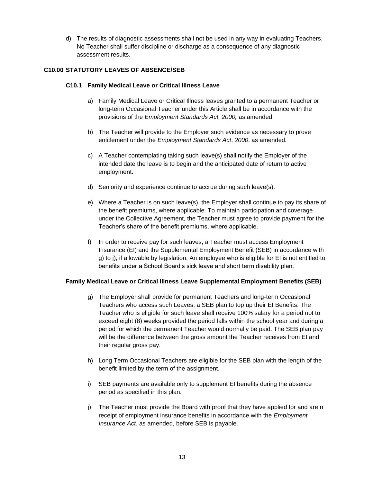d) The results of diagnostic assessments shall not be used in any way in evaluating Teachers. No Teacher shall suffer discipline or discharge as a consequence of any diagnostic assessment results.

# <span id="page-15-1"></span><span id="page-15-0"></span>**C10.00 STATUTORY LEAVES OF ABSENCE/SEB**

# **C10.1 Family Medical Leave or Critical Illness Leave**

- a) Family Medical Leave or Critical Illness leaves granted to a permanent Teacher or long-term Occasional Teacher under this Article shall be in accordance with the provisions of the *Employment Standards Act, 2000,* as amended.
- b) The Teacher will provide to the Employer such evidence as necessary to prove entitlement under the *Employment Standards Act*, *2000*, as amended*.*
- c) A Teacher contemplating taking such leave(s) shall notify the Employer of the intended date the leave is to begin and the anticipated date of return to active employment.
- d) Seniority and experience continue to accrue during such leave(s).
- e) Where a Teacher is on such leave(s), the Employer shall continue to pay its share of the benefit premiums, where applicable. To maintain participation and coverage under the Collective Agreement, the Teacher must agree to provide payment for the Teacher's share of the benefit premiums, where applicable.
- f) In order to receive pay for such leaves, a Teacher must access Employment Insurance (EI) and the Supplemental Employment Benefit (SEB) in accordance with g) to j), if allowable by legislation. An employee who is eligible for EI is not entitled to benefits under a School Board's sick leave and short term disability plan.

# **Family Medical Leave or Critical Illness Leave Supplemental Employment Benefits (SEB)**

- g) The Employer shall provide for permanent Teachers and long-term Occasional Teachers who access such Leaves, a SEB plan to top up their EI Benefits. The Teacher who is eligible for such leave shall receive 100% salary for a period not to exceed eight (8) weeks provided the period falls within the school year and during a period for which the permanent Teacher would normally be paid. The SEB plan pay will be the difference between the gross amount the Teacher receives from EI and their regular gross pay.
- h) Long Term Occasional Teachers are eligible for the SEB plan with the length of the benefit limited by the term of the assignment.
- i) SEB payments are available only to supplement EI benefits during the absence period as specified in this plan.
- j) The Teacher must provide the Board with proof that they have applied for and are n receipt of employment insurance benefits in accordance with the *Employment Insurance Act*, as amended, before SEB is payable.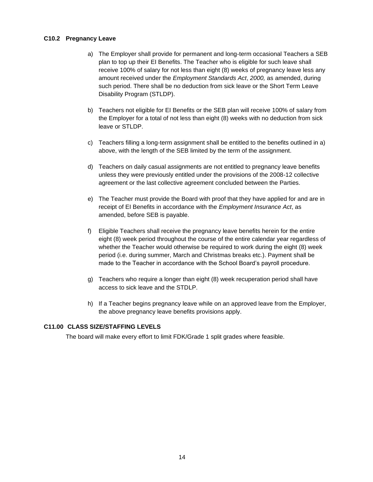### <span id="page-16-0"></span>**C10.2 Pregnancy Leave**

- a) The Employer shall provide for permanent and long-term occasional Teachers a SEB plan to top up their EI Benefits. The Teacher who is eligible for such leave shall receive 100% of salary for not less than eight (8) weeks of pregnancy leave less any amount received under the *Employment Standards Act*, *2000,* as amended, during such period. There shall be no deduction from sick leave or the Short Term Leave Disability Program (STLDP).
- b) Teachers not eligible for EI Benefits or the SEB plan will receive 100% of salary from the Employer for a total of not less than eight (8) weeks with no deduction from sick leave or STLDP.
- c) Teachers filling a long-term assignment shall be entitled to the benefits outlined in a) above, with the length of the SEB limited by the term of the assignment.
- d) Teachers on daily casual assignments are not entitled to pregnancy leave benefits unless they were previously entitled under the provisions of the 2008-12 collective agreement or the last collective agreement concluded between the Parties.
- e) The Teacher must provide the Board with proof that they have applied for and are in receipt of EI Benefits in accordance with the *Employment Insurance Act*, as amended, before SEB is payable.
- f) Eligible Teachers shall receive the pregnancy leave benefits herein for the entire eight (8) week period throughout the course of the entire calendar year regardless of whether the Teacher would otherwise be required to work during the eight (8) week period (i.e. during summer, March and Christmas breaks etc.). Payment shall be made to the Teacher in accordance with the School Board's payroll procedure.
- g) Teachers who require a longer than eight (8) week recuperation period shall have access to sick leave and the STDLP.
- h) If a Teacher begins pregnancy leave while on an approved leave from the Employer, the above pregnancy leave benefits provisions apply.

# <span id="page-16-1"></span>**C11.00 CLASS SIZE/STAFFING LEVELS**

The board will make every effort to limit FDK/Grade 1 split grades where feasible.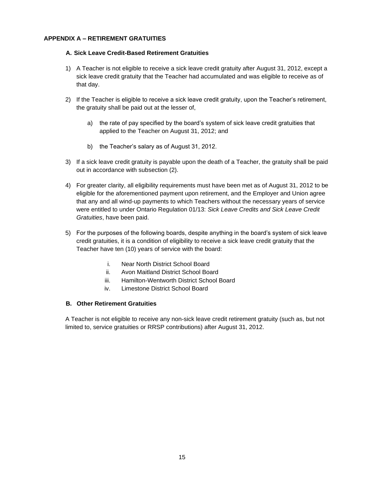# <span id="page-17-1"></span><span id="page-17-0"></span>**APPENDIX A – RETIREMENT GRATUITIES**

### **A. Sick Leave Credit-Based Retirement Gratuities**

- 1) A Teacher is not eligible to receive a sick leave credit gratuity after August 31, 2012, except a sick leave credit gratuity that the Teacher had accumulated and was eligible to receive as of that day.
- 2) If the Teacher is eligible to receive a sick leave credit gratuity, upon the Teacher's retirement, the gratuity shall be paid out at the lesser of,
	- a) the rate of pay specified by the board's system of sick leave credit gratuities that applied to the Teacher on August 31, 2012; and
	- b) the Teacher's salary as of August 31, 2012.
- 3) If a sick leave credit gratuity is payable upon the death of a Teacher, the gratuity shall be paid out in accordance with subsection (2).
- 4) For greater clarity, all eligibility requirements must have been met as of August 31, 2012 to be eligible for the aforementioned payment upon retirement, and the Employer and Union agree that any and all wind-up payments to which Teachers without the necessary years of service were entitled to under Ontario Regulation 01/13: *Sick Leave Credits and Sick Leave Credit Gratuities*, have been paid.
- 5) For the purposes of the following boards, despite anything in the board's system of sick leave credit gratuities, it is a condition of eligibility to receive a sick leave credit gratuity that the Teacher have ten (10) years of service with the board:
	- i. Near North District School Board
	- ii. Avon Maitland District School Board
	- iii. Hamilton-Wentworth District School Board
	- iv. Limestone District School Board

### <span id="page-17-2"></span>**B. Other Retirement Gratuities**

A Teacher is not eligible to receive any non-sick leave credit retirement gratuity (such as, but not limited to, service gratuities or RRSP contributions) after August 31, 2012.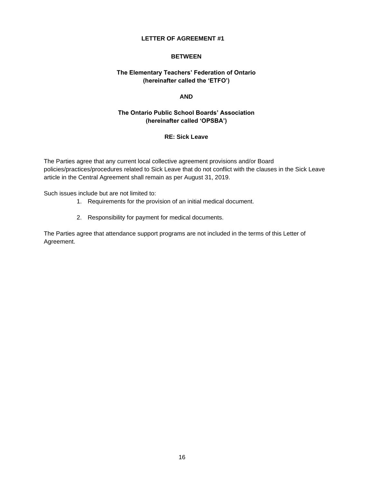## **BETWEEN**

# <span id="page-18-0"></span>**The Elementary Teachers' Federation of Ontario (hereinafter called the 'ETFO')**

### **AND**

# **The Ontario Public School Boards' Association (hereinafter called 'OPSBA')**

# **RE: Sick Leave**

The Parties agree that any current local collective agreement provisions and/or Board policies/practices/procedures related to Sick Leave that do not conflict with the clauses in the Sick Leave article in the Central Agreement shall remain as per August 31, 2019.

Such issues include but are not limited to:

- 1. Requirements for the provision of an initial medical document.
- 2. Responsibility for payment for medical documents.

The Parties agree that attendance support programs are not included in the terms of this Letter of Agreement.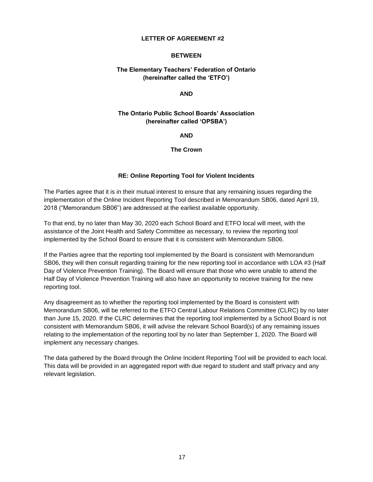### **BETWEEN**

# <span id="page-19-0"></span>**The Elementary Teachers' Federation of Ontario (hereinafter called the 'ETFO')**

### **AND**

## **The Ontario Public School Boards' Association (hereinafter called 'OPSBA')**

**AND**

**The Crown** 

### **RE: Online Reporting Tool for Violent Incidents**

The Parties agree that it is in their mutual interest to ensure that any remaining issues regarding the implementation of the Online Incident Reporting Tool described in Memorandum SB06, dated April 19, 2018 ("Memorandum SB06") are addressed at the earliest available opportunity.

To that end, by no later than May 30, 2020 each School Board and ETFO local will meet, with the assistance of the Joint Health and Safety Committee as necessary, to review the reporting tool implemented by the School Board to ensure that it is consistent with Memorandum SB06.

If the Parties agree that the reporting tool implemented by the Board is consistent with Memorandum SB06, they will then consult regarding training for the new reporting tool in accordance with LOA #3 (Half Day of Violence Prevention Training). The Board will ensure that those who were unable to attend the Half Day of Violence Prevention Training will also have an opportunity to receive training for the new reporting tool.

Any disagreement as to whether the reporting tool implemented by the Board is consistent with Memorandum SB06, will be referred to the ETFO Central Labour Relations Committee (CLRC) by no later than June 15, 2020. If the CLRC determines that the reporting tool implemented by a School Board is not consistent with Memorandum SB06, it will advise the relevant School Board(s) of any remaining issues relating to the implementation of the reporting tool by no later than September 1, 2020. The Board will implement any necessary changes.

The data gathered by the Board through the Online Incident Reporting Tool will be provided to each local. This data will be provided in an aggregated report with due regard to student and staff privacy and any relevant legislation.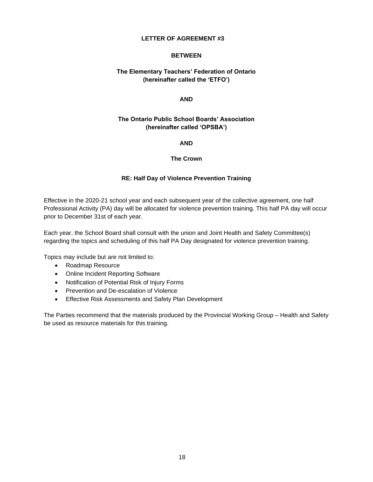### **BETWEEN**

# <span id="page-20-0"></span>**The Elementary Teachers' Federation of Ontario (hereinafter called the 'ETFO')**

### **AND**

# **The Ontario Public School Boards' Association (hereinafter called 'OPSBA')**

### **AND**

### **The Crown**

### **RE: Half Day of Violence Prevention Training**

Effective in the 2020-21 school year and each subsequent year of the collective agreement, one half Professional Activity (PA) day will be allocated for violence prevention training. This half PA day will occur prior to December 31st of each year.

Each year, the School Board shall consult with the union and Joint Health and Safety Committee(s) regarding the topics and scheduling of this half PA Day designated for violence prevention training.

Topics may include but are not limited to:

- Roadmap Resource
- Online Incident Reporting Software
- Notification of Potential Risk of Injury Forms
- Prevention and De-escalation of Violence
- Effective Risk Assessments and Safety Plan Development

The Parties recommend that the materials produced by the Provincial Working Group – Health and Safety be used as resource materials for this training.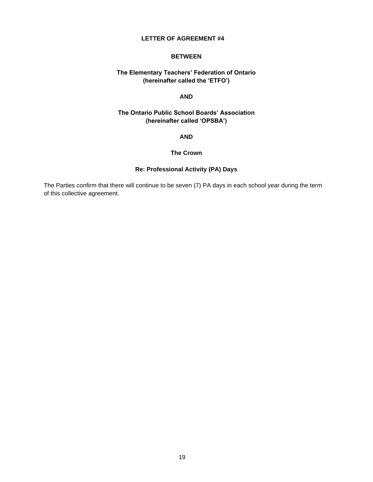### **BETWEEN**

# <span id="page-21-0"></span>**The Elementary Teachers' Federation of Ontario (hereinafter called the 'ETFO')**

# **AND**

# **The Ontario Public School Boards' Association (hereinafter called 'OPSBA')**

### **AND**

### **The Crown**

## **Re: Professional Activity (PA) Days**

The Parties confirm that there will continue to be seven (7) PA days in each school year during the term of this collective agreement.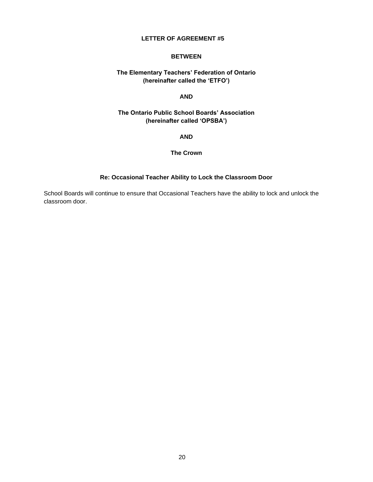### **BETWEEN**

# <span id="page-22-0"></span>**The Elementary Teachers' Federation of Ontario (hereinafter called the 'ETFO')**

# **AND**

# **The Ontario Public School Boards' Association (hereinafter called 'OPSBA')**

**AND**

### **The Crown**

## **Re: Occasional Teacher Ability to Lock the Classroom Door**

School Boards will continue to ensure that Occasional Teachers have the ability to lock and unlock the classroom door.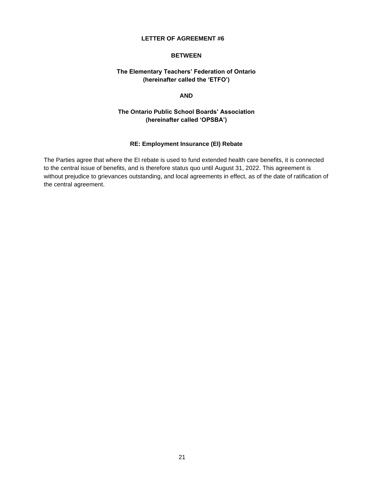### **BETWEEN**

# <span id="page-23-0"></span>**The Elementary Teachers' Federation of Ontario (hereinafter called the 'ETFO')**

### **AND**

# **The Ontario Public School Boards' Association (hereinafter called 'OPSBA')**

# **RE: Employment Insurance (EI) Rebate**

The Parties agree that where the EI rebate is used to fund extended health care benefits, it is connected to the central issue of benefits, and is therefore status quo until August 31, 2022. This agreement is without prejudice to grievances outstanding, and local agreements in effect, as of the date of ratification of the central agreement.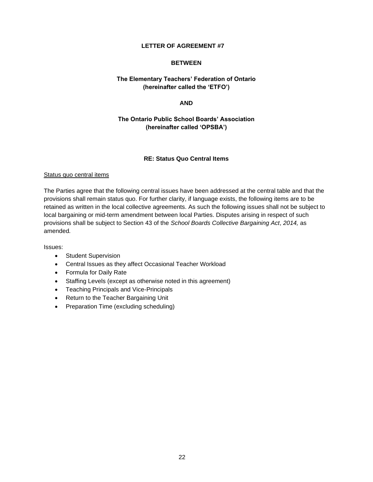### **BETWEEN**

# <span id="page-24-0"></span>**The Elementary Teachers' Federation of Ontario (hereinafter called the 'ETFO')**

## **AND**

# **The Ontario Public School Boards' Association (hereinafter called 'OPSBA')**

# **RE: Status Quo Central Items**

### Status quo central items

The Parties agree that the following central issues have been addressed at the central table and that the provisions shall remain status quo. For further clarity, if language exists, the following items are to be retained as written in the local collective agreements. As such the following issues shall not be subject to local bargaining or mid-term amendment between local Parties. Disputes arising in respect of such provisions shall be subject to Section 43 of the *School Boards Collective Bargaining Act*, *2014,* as amended*.*

Issues:

- Student Supervision
- Central Issues as they affect Occasional Teacher Workload
- Formula for Daily Rate
- Staffing Levels (except as otherwise noted in this agreement)
- Teaching Principals and Vice-Principals
- Return to the Teacher Bargaining Unit
- Preparation Time (excluding scheduling)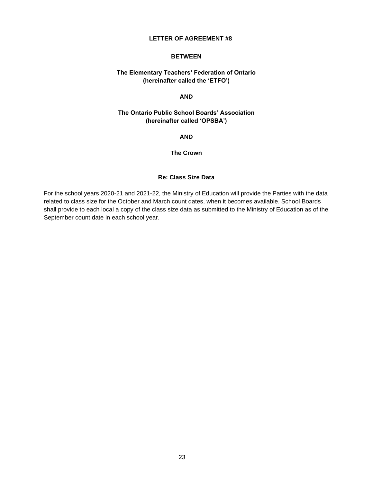### **BETWEEN**

# <span id="page-25-0"></span>**The Elementary Teachers' Federation of Ontario (hereinafter called the 'ETFO')**

# **AND**

# **The Ontario Public School Boards' Association (hereinafter called 'OPSBA')**

**AND**

**The Crown**

## **Re: Class Size Data**

For the school years 2020-21 and 2021-22, the Ministry of Education will provide the Parties with the data related to class size for the October and March count dates, when it becomes available. School Boards shall provide to each local a copy of the class size data as submitted to the Ministry of Education as of the September count date in each school year.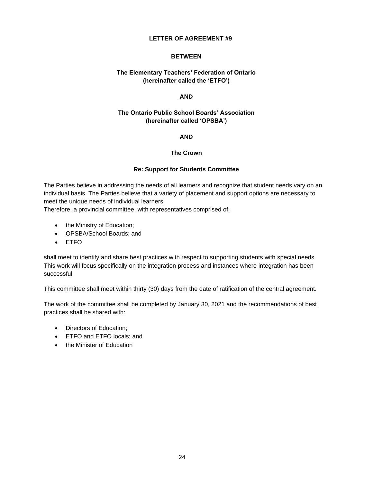# **BETWEEN**

# <span id="page-26-0"></span>**The Elementary Teachers' Federation of Ontario (hereinafter called the 'ETFO')**

# **AND**

# **The Ontario Public School Boards' Association (hereinafter called 'OPSBA')**

### **AND**

## **The Crown**

## **Re: Support for Students Committee**

The Parties believe in addressing the needs of all learners and recognize that student needs vary on an individual basis. The Parties believe that a variety of placement and support options are necessary to meet the unique needs of individual learners.

Therefore, a provincial committee, with representatives comprised of:

- the Ministry of Education;
- OPSBA/School Boards; and
- ETFO

shall meet to identify and share best practices with respect to supporting students with special needs. This work will focus specifically on the integration process and instances where integration has been successful.

This committee shall meet within thirty (30) days from the date of ratification of the central agreement.

The work of the committee shall be completed by January 30, 2021 and the recommendations of best practices shall be shared with:

- Directors of Education;
- ETFO and ETFO locals; and
- the Minister of Education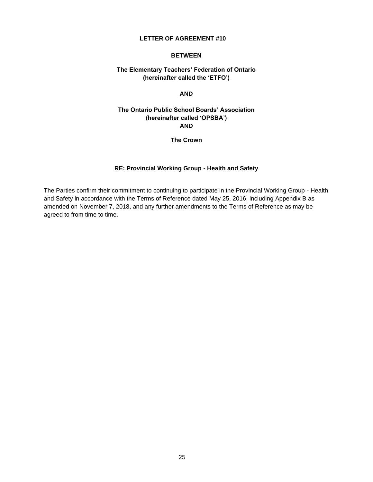### **BETWEEN**

# <span id="page-27-0"></span>**The Elementary Teachers' Federation of Ontario (hereinafter called the 'ETFO')**

### **AND**

# **The Ontario Public School Boards' Association (hereinafter called 'OPSBA') AND**

**The Crown** 

# **RE: Provincial Working Group - Health and Safety**

The Parties confirm their commitment to continuing to participate in the Provincial Working Group - Health and Safety in accordance with the Terms of Reference dated May 25, 2016, including Appendix B as amended on November 7, 2018, and any further amendments to the Terms of Reference as may be agreed to from time to time.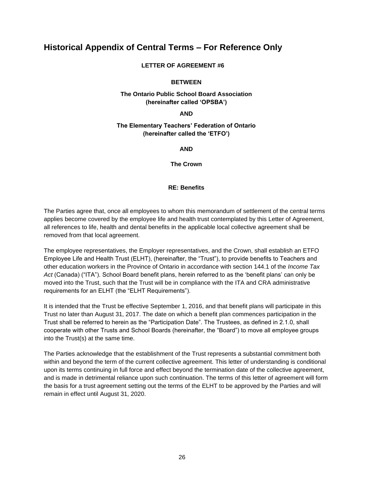# <span id="page-28-1"></span><span id="page-28-0"></span>**Historical Appendix of Central Terms – For Reference Only**

## **LETTER OF AGREEMENT #6**

## **BETWEEN**

# **The Ontario Public School Board Association (hereinafter called 'OPSBA')**

**AND**

# **The Elementary Teachers' Federation of Ontario (hereinafter called the 'ETFO')**

**AND**

**The Crown**

# **RE: Benefits**

The Parties agree that, once all employees to whom this memorandum of settlement of the central terms applies become covered by the employee life and health trust contemplated by this Letter of Agreement, all references to life, health and dental benefits in the applicable local collective agreement shall be removed from that local agreement.

The employee representatives, the Employer representatives, and the Crown, shall establish an ETFO Employee Life and Health Trust (ELHT), (hereinafter, the "Trust"), to provide benefits to Teachers and other education workers in the Province of Ontario in accordance with section 144.1 of the *Income Tax Act* (Canada) ("ITA"). School Board benefit plans, herein referred to as the 'benefit plans' can only be moved into the Trust, such that the Trust will be in compliance with the ITA and CRA administrative requirements for an ELHT (the "ELHT Requirements").

It is intended that the Trust be effective September 1, 2016, and that benefit plans will participate in this Trust no later than August 31, 2017. The date on which a benefit plan commences participation in the Trust shall be referred to herein as the "Participation Date". The Trustees, as defined in 2.1.0, shall cooperate with other Trusts and School Boards (hereinafter, the "Board") to move all employee groups into the Trust(s) at the same time.

The Parties acknowledge that the establishment of the Trust represents a substantial commitment both within and beyond the term of the current collective agreement. This letter of understanding is conditional upon its terms continuing in full force and effect beyond the termination date of the collective agreement, and is made in detrimental reliance upon such continuation. The terms of this letter of agreement will form the basis for a trust agreement setting out the terms of the ELHT to be approved by the Parties and will remain in effect until August 31, 2020.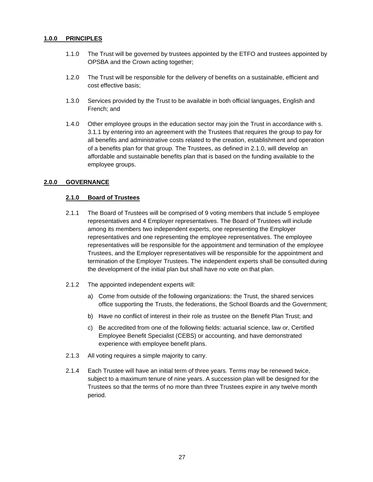### **1.0.0 PRINCIPLES**

- 1.1.0 The Trust will be governed by trustees appointed by the ETFO and trustees appointed by OPSBA and the Crown acting together;
- 1.2.0 The Trust will be responsible for the delivery of benefits on a sustainable, efficient and cost effective basis;
- 1.3.0 Services provided by the Trust to be available in both official languages, English and French; and
- 1.4.0 Other employee groups in the education sector may join the Trust in accordance with s. 3.1.1 by entering into an agreement with the Trustees that requires the group to pay for all benefits and administrative costs related to the creation, establishment and operation of a benefits plan for that group. The Trustees, as defined in 2.1.0, will develop an affordable and sustainable benefits plan that is based on the funding available to the employee groups.

# **2.0.0 GOVERNANCE**

### **2.1.0 Board of Trustees**

- 2.1.1 The Board of Trustees will be comprised of 9 voting members that include 5 employee representatives and 4 Employer representatives. The Board of Trustees will include among its members two independent experts, one representing the Employer representatives and one representing the employee representatives. The employee representatives will be responsible for the appointment and termination of the employee Trustees, and the Employer representatives will be responsible for the appointment and termination of the Employer Trustees. The independent experts shall be consulted during the development of the initial plan but shall have no vote on that plan.
- 2.1.2 The appointed independent experts will:
	- a) Come from outside of the following organizations: the Trust, the shared services office supporting the Trusts, the federations, the School Boards and the Government;
	- b) Have no conflict of interest in their role as trustee on the Benefit Plan Trust; and
	- c) Be accredited from one of the following fields: actuarial science, law or, Certified Employee Benefit Specialist (CEBS) or accounting, and have demonstrated experience with employee benefit plans.
- 2.1.3 All voting requires a simple majority to carry.
- 2.1.4 Each Trustee will have an initial term of three years. Terms may be renewed twice, subject to a maximum tenure of nine years. A succession plan will be designed for the Trustees so that the terms of no more than three Trustees expire in any twelve month period.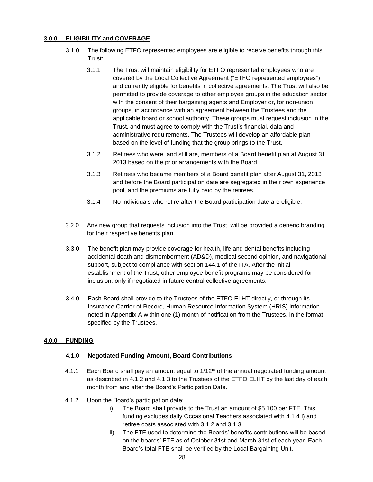# **3.0.0 ELIGIBILITY and COVERAGE**

- 3.1.0 The following ETFO represented employees are eligible to receive benefits through this Trust:
	- 3.1.1 The Trust will maintain eligibility for ETFO represented employees who are covered by the Local Collective Agreement ("ETFO represented employees") and currently eligible for benefits in collective agreements. The Trust will also be permitted to provide coverage to other employee groups in the education sector with the consent of their bargaining agents and Employer or, for non-union groups, in accordance with an agreement between the Trustees and the applicable board or school authority. These groups must request inclusion in the Trust, and must agree to comply with the Trust's financial, data and administrative requirements. The Trustees will develop an affordable plan based on the level of funding that the group brings to the Trust.
	- 3.1.2 Retirees who were, and still are, members of a Board benefit plan at August 31, 2013 based on the prior arrangements with the Board.
	- 3.1.3 Retirees who became members of a Board benefit plan after August 31, 2013 and before the Board participation date are segregated in their own experience pool, and the premiums are fully paid by the retirees.
	- 3.1.4 No individuals who retire after the Board participation date are eligible.
- 3.2.0 Any new group that requests inclusion into the Trust, will be provided a generic branding for their respective benefits plan.
- 3.3.0 The benefit plan may provide coverage for health, life and dental benefits including accidental death and dismemberment (AD&D), medical second opinion, and navigational support, subject to compliance with section 144.1 of the ITA. After the initial establishment of the Trust, other employee benefit programs may be considered for inclusion, only if negotiated in future central collective agreements.
- 3.4.0 Each Board shall provide to the Trustees of the ETFO ELHT directly, or through its Insurance Carrier of Record, Human Resource Information System (HRIS) information noted in Appendix A within one (1) month of notification from the Trustees, in the format specified by the Trustees.

# **4.0.0 FUNDING**

# **4.1.0 Negotiated Funding Amount, Board Contributions**

- 4.1.1 Each Board shall pay an amount equal to  $1/12<sup>th</sup>$  of the annual negotiated funding amount as described in 4.1.2 and 4.1.3 to the Trustees of the ETFO ELHT by the last day of each month from and after the Board's Participation Date.
- 4.1.2 Upon the Board's participation date:
	- i) The Board shall provide to the Trust an amount of \$5,100 per FTE. This funding excludes daily Occasional Teachers associated with 4.1.4 i) and retiree costs associated with 3.1.2 and 3.1.3.
	- ii) The FTE used to determine the Boards' benefits contributions will be based on the boards' FTE as of October 31st and March 31st of each year. Each Board's total FTE shall be verified by the Local Bargaining Unit.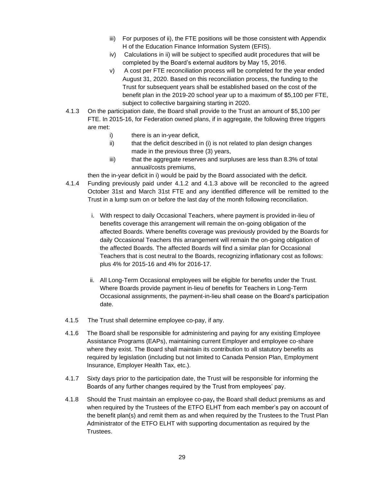- iii) For purposes of ii), the FTE positions will be those consistent with Appendix H of the Education Finance Information System (EFIS).
- iv) Calculations in ii) will be subject to specified audit procedures that will be completed by the Board's external auditors by May 15, 2016.
- v) A cost per FTE reconciliation process will be completed for the year ended August 31, 2020. Based on this reconciliation process, the funding to the Trust for subsequent years shall be established based on the cost of the benefit plan in the 2019-20 school year up to a maximum of \$5,100 per FTE, subject to collective bargaining starting in 2020.
- 4.1.3 On the participation date, the Board shall provide to the Trust an amount of \$5,100 per FTE. In 2015-16, for Federation owned plans, if in aggregate, the following three triggers are met:
	- i) there is an in-year deficit,
	- ii) that the deficit described in (i) is not related to plan design changes made in the previous three (3) years,
	- iii) that the aggregate reserves and surpluses are less than 8.3% of total annual/costs premiums,

then the in-year deficit in i) would be paid by the Board associated with the deficit.

- 4.1.4 Funding previously paid under 4.1.2 and 4.1.3 above will be reconciled to the agreed October 31st and March 31st FTE and any identified difference will be remitted to the Trust in a lump sum on or before the last day of the month following reconciliation.
	- i. With respect to daily Occasional Teachers, where payment is provided in-lieu of benefits coverage this arrangement will remain the on-going obligation of the affected Boards. Where benefits coverage was previously provided by the Boards for daily Occasional Teachers this arrangement will remain the on-going obligation of the affected Boards. The affected Boards will find a similar plan for Occasional Teachers that is cost neutral to the Boards, recognizing inflationary cost as follows: plus 4% for 2015-16 and 4% for 2016-17.
	- ii. All Long-Term Occasional employees will be eligible for benefits under the Trust. Where Boards provide payment in-lieu of benefits for Teachers in Long-Term Occasional assignments, the payment-in-lieu shall cease on the Board's participation date.
- 4.1.5 The Trust shall determine employee co-pay, if any.
- 4.1.6 The Board shall be responsible for administering and paying for any existing Employee Assistance Programs (EAPs), maintaining current Employer and employee co-share where they exist. The Board shall maintain its contribution to all statutory benefits as required by legislation (including but not limited to Canada Pension Plan, Employment Insurance, Employer Health Tax, etc.).
- 4.1.7 Sixty days prior to the participation date, the Trust will be responsible for informing the Boards of any further changes required by the Trust from employees' pay.
- 4.1.8 Should the Trust maintain an employee co-pay**,** the Board shall deduct premiums as and when required by the Trustees of the ETFO ELHT from each member's pay on account of the benefit plan(s) and remit them as and when required by the Trustees to the Trust Plan Administrator of the ETFO ELHT with supporting documentation as required by the Trustees.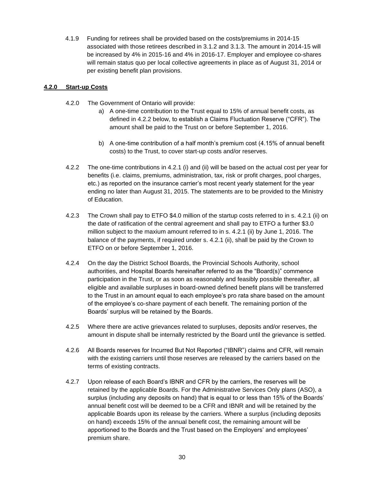4.1.9 Funding for retirees shall be provided based on the costs/premiums in 2014-15 associated with those retirees described in 3.1.2 and 3.1.3. The amount in 2014-15 will be increased by 4% in 2015-16 and 4% in 2016-17. Employer and employee co-shares will remain status quo per local collective agreements in place as of August 31, 2014 or per existing benefit plan provisions.

# **4.2.0 Start-up Costs**

- 4.2.0 The Government of Ontario will provide:
	- a) A one-time contribution to the Trust equal to 15% of annual benefit costs, as defined in 4.2.2 below, to establish a Claims Fluctuation Reserve ("CFR"). The amount shall be paid to the Trust on or before September 1, 2016.
	- b) A one-time contribution of a half month's premium cost (4.15% of annual benefit costs) to the Trust, to cover start-up costs and/or reserves.
- 4.2.2 The one-time contributions in 4.2.1 (i) and (ii) will be based on the actual cost per year for benefits (i.e. claims, premiums, administration, tax, risk or profit charges, pool charges, etc.) as reported on the insurance carrier's most recent yearly statement for the year ending no later than August 31, 2015. The statements are to be provided to the Ministry of Education.
- 4.2.3 The Crown shall pay to ETFO \$4.0 million of the startup costs referred to in s. 4.2.1 (ii) on the date of ratification of the central agreement and shall pay to ETFO a further \$3.0 million subject to the maxium amount referred to in s. 4.2.1 (ii) by June 1, 2016. The balance of the payments, if required under s. 4.2.1 (ii), shall be paid by the Crown to ETFO on or before September 1, 2016.
- 4.2.4 On the day the District School Boards, the Provincial Schools Authority, school authorities, and Hospital Boards hereinafter referred to as the "Board(s)" commence participation in the Trust, or as soon as reasonably and feasibly possible thereafter, all eligible and available surpluses in board-owned defined benefit plans will be transferred to the Trust in an amount equal to each employee's pro rata share based on the amount of the employee's co-share payment of each benefit. The remaining portion of the Boards' surplus will be retained by the Boards.
- 4.2.5 Where there are active grievances related to surpluses, deposits and/or reserves, the amount in dispute shall be internally restricted by the Board until the grievance is settled.
- 4.2.6 All Boards reserves for Incurred But Not Reported ("IBNR") claims and CFR, will remain with the existing carriers until those reserves are released by the carriers based on the terms of existing contracts.
- 4.2.7 Upon release of each Board's IBNR and CFR by the carriers, the reserves will be retained by the applicable Boards. For the Administrative Services Only plans (ASO), a surplus (including any deposits on hand) that is equal to or less than 15% of the Boards' annual benefit cost will be deemed to be a CFR and IBNR and will be retained by the applicable Boards upon its release by the carriers. Where a surplus (including deposits on hand) exceeds 15% of the annual benefit cost, the remaining amount will be apportioned to the Boards and the Trust based on the Employers' and employees' premium share.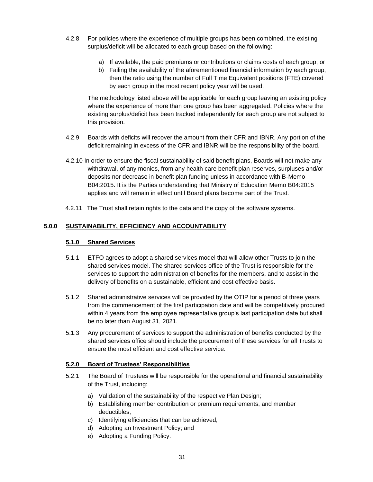- 4.2.8 For policies where the experience of multiple groups has been combined, the existing surplus/deficit will be allocated to each group based on the following:
	- a) If available, the paid premiums or contributions or claims costs of each group; or
	- b) Failing the availability of the aforementioned financial information by each group, then the ratio using the number of Full Time Equivalent positions (FTE) covered by each group in the most recent policy year will be used.

The methodology listed above will be applicable for each group leaving an existing policy where the experience of more than one group has been aggregated. Policies where the existing surplus/deficit has been tracked independently for each group are not subject to this provision.

- 4.2.9 Boards with deficits will recover the amount from their CFR and IBNR. Any portion of the deficit remaining in excess of the CFR and IBNR will be the responsibility of the board.
- 4.2.10 In order to ensure the fiscal sustainability of said benefit plans, Boards will not make any withdrawal, of any monies, from any health care benefit plan reserves, surpluses and/or deposits nor decrease in benefit plan funding unless in accordance with B-Memo B04:2015. It is the Parties understanding that Ministry of Education Memo B04:2015 applies and will remain in effect until Board plans become part of the Trust.
- 4.2.11 The Trust shall retain rights to the data and the copy of the software systems.

# **5.0.0 SUSTAINABILITY, EFFICIENCY AND ACCOUNTABILITY**

### **5.1.0 Shared Services**

- 5.1.1 ETFO agrees to adopt a shared services model that will allow other Trusts to join the shared services model. The shared services office of the Trust is responsible for the services to support the administration of benefits for the members, and to assist in the delivery of benefits on a sustainable, efficient and cost effective basis.
- 5.1.2 Shared administrative services will be provided by the OTIP for a period of three years from the commencement of the first participation date and will be competitively procured within 4 years from the employee representative group's last participation date but shall be no later than August 31, 2021.
- 5.1.3 Any procurement of services to support the administration of benefits conducted by the shared services office should include the procurement of these services for all Trusts to ensure the most efficient and cost effective service.

# **5.2.0 Board of Trustees' Responsibilities**

- 5.2.1 The Board of Trustees will be responsible for the operational and financial sustainability of the Trust, including:
	- a) Validation of the sustainability of the respective Plan Design;
	- b) Establishing member contribution or premium requirements, and member deductibles;
	- c) Identifying efficiencies that can be achieved;
	- d) Adopting an Investment Policy; and
	- e) Adopting a Funding Policy.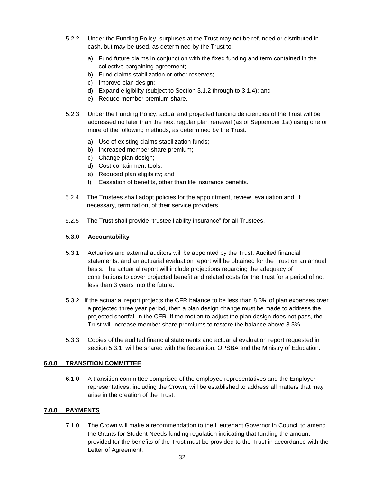- 5.2.2 Under the Funding Policy, surpluses at the Trust may not be refunded or distributed in cash, but may be used, as determined by the Trust to:
	- a) Fund future claims in conjunction with the fixed funding and term contained in the collective bargaining agreement;
	- b) Fund claims stabilization or other reserves;
	- c) Improve plan design;
	- d) Expand eligibility (subject to Section 3.1.2 through to 3.1.4); and
	- e) Reduce member premium share.
- 5.2.3 Under the Funding Policy, actual and projected funding deficiencies of the Trust will be addressed no later than the next regular plan renewal (as of September 1st) using one or more of the following methods, as determined by the Trust:
	- a) Use of existing claims stabilization funds;
	- b) Increased member share premium;
	- c) Change plan design;
	- d) Cost containment tools;
	- e) Reduced plan eligibility; and
	- f) Cessation of benefits, other than life insurance benefits.
- 5.2.4 The Trustees shall adopt policies for the appointment, review, evaluation and, if necessary, termination, of their service providers.
- 5.2.5 The Trust shall provide "trustee liability insurance" for all Trustees.

# **5.3.0 Accountability**

- 5.3.1 Actuaries and external auditors will be appointed by the Trust. Audited financial statements, and an actuarial evaluation report will be obtained for the Trust on an annual basis. The actuarial report will include projections regarding the adequacy of contributions to cover projected benefit and related costs for the Trust for a period of not less than 3 years into the future.
- 5.3.2 If the actuarial report projects the CFR balance to be less than 8.3% of plan expenses over a projected three year period, then a plan design change must be made to address the projected shortfall in the CFR. If the motion to adjust the plan design does not pass, the Trust will increase member share premiums to restore the balance above 8.3%.
- 5.3.3 Copies of the audited financial statements and actuarial evaluation report requested in section 5.3.1, will be shared with the federation, OPSBA and the Ministry of Education.

# **6.0.0 TRANSITION COMMITTEE**

6.1.0 A transition committee comprised of the employee representatives and the Employer representatives, including the Crown, will be established to address all matters that may arise in the creation of the Trust.

# **7.0.0 PAYMENTS**

7.1.0 The Crown will make a recommendation to the Lieutenant Governor in Council to amend the Grants for Student Needs funding regulation indicating that funding the amount provided for the benefits of the Trust must be provided to the Trust in accordance with the Letter of Agreement.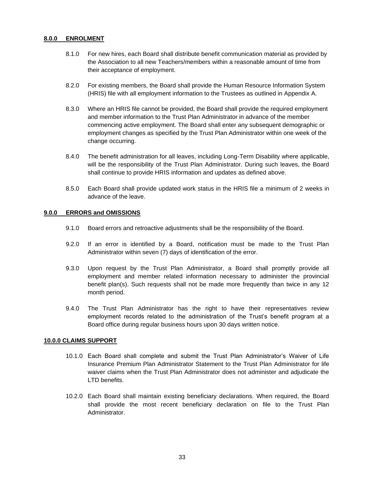### **8.0.0 ENROLMENT**

- 8.1.0 For new hires, each Board shall distribute benefit communication material as provided by the Association to all new Teachers/members within a reasonable amount of time from their acceptance of employment.
- 8.2.0 For existing members, the Board shall provide the Human Resource Information System (HRIS) file with all employment information to the Trustees as outlined in Appendix A.
- 8.3.0 Where an HRIS file cannot be provided, the Board shall provide the required employment and member information to the Trust Plan Administrator in advance of the member commencing active employment. The Board shall enter any subsequent demographic or employment changes as specified by the Trust Plan Administrator within one week of the change occurring.
- 8.4.0 The benefit administration for all leaves, including Long-Term Disability where applicable, will be the responsibility of the Trust Plan Administrator. During such leaves, the Board shall continue to provide HRIS information and updates as defined above.
- 8.5.0 Each Board shall provide updated work status in the HRIS file a minimum of 2 weeks in advance of the leave.

### **9.0.0 ERRORS and OMISSIONS**

- 9.1.0 Board errors and retroactive adjustments shall be the responsibility of the Board.
- 9.2.0 If an error is identified by a Board, notification must be made to the Trust Plan Administrator within seven (7) days of identification of the error.
- 9.3.0 Upon request by the Trust Plan Administrator, a Board shall promptly provide all employment and member related information necessary to administer the provincial benefit plan(s). Such requests shall not be made more frequently than twice in any 12 month period.
- 9.4.0 The Trust Plan Administrator has the right to have their representatives review employment records related to the administration of the Trust's benefit program at a Board office during regular business hours upon 30 days written notice.

#### **10.0.0 CLAIMS SUPPORT**

- 10.1.0 Each Board shall complete and submit the Trust Plan Administrator's Waiver of Life Insurance Premium Plan Administrator Statement to the Trust Plan Administrator for life waiver claims when the Trust Plan Administrator does not administer and adjudicate the LTD benefits.
- 10.2.0 Each Board shall maintain existing beneficiary declarations. When required, the Board shall provide the most recent beneficiary declaration on file to the Trust Plan Administrator.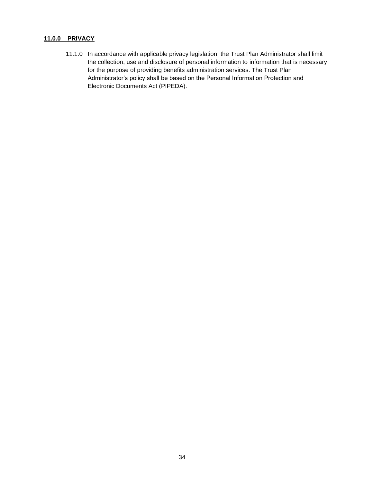# **11.0.0 PRIVACY**

11.1.0 In accordance with applicable privacy legislation, the Trust Plan Administrator shall limit the collection, use and disclosure of personal information to information that is necessary for the purpose of providing benefits administration services. The Trust Plan Administrator's policy shall be based on the Personal Information Protection and Electronic Documents Act (PIPEDA).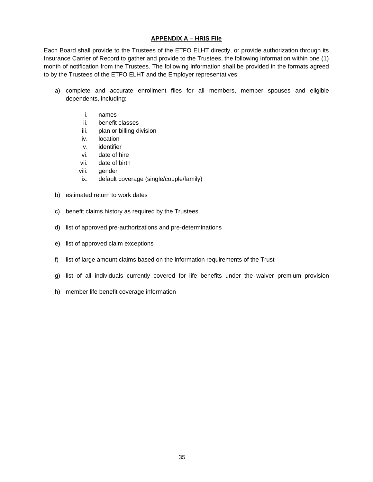# **APPENDIX A – HRIS File**

Each Board shall provide to the Trustees of the ETFO ELHT directly, or provide authorization through its Insurance Carrier of Record to gather and provide to the Trustees, the following information within one (1) month of notification from the Trustees. The following information shall be provided in the formats agreed to by the Trustees of the ETFO ELHT and the Employer representatives:

- a) complete and accurate enrollment files for all members, member spouses and eligible dependents, including:
	- i. names
	- ii. benefit classes
	- iii. plan or billing division
	- iv. location
	- v. identifier
	- vi. date of hire
	- vii. date of birth
	- viii. gender
	- ix. default coverage (single/couple/family)
- b) estimated return to work dates
- c) benefit claims history as required by the Trustees
- d) list of approved pre-authorizations and pre-determinations
- e) list of approved claim exceptions
- f) list of large amount claims based on the information requirements of the Trust
- g) list of all individuals currently covered for life benefits under the waiver premium provision
- h) member life benefit coverage information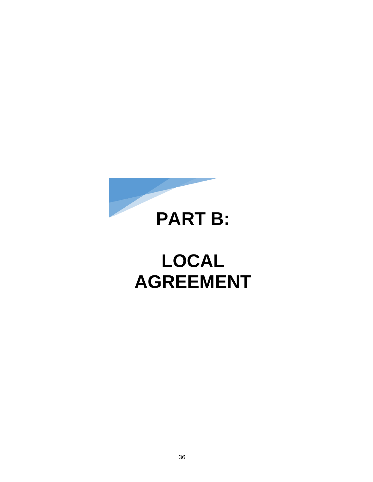

# **LOCAL AGREEMENT**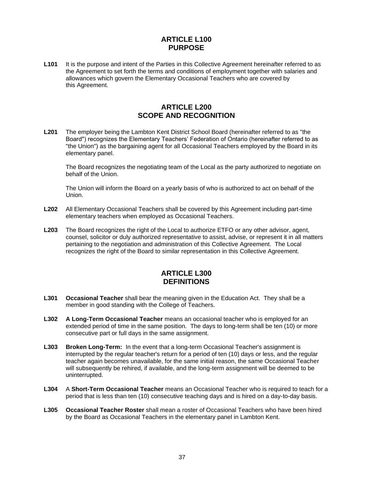# **ARTICLE L100 PURPOSE**

<span id="page-39-0"></span>L101 It is the purpose and intent of the Parties in this Collective Agreement hereinafter referred to as the Agreement to set forth the terms and conditions of employment together with salaries and allowances which govern the Elementary Occasional Teachers who are covered by this Agreement.

# **ARTICLE L200 SCOPE AND RECOGNITION**

<span id="page-39-1"></span>**L201** The employer being the Lambton Kent District School Board (hereinafter referred to as "the Board") recognizes the Elementary Teachers' Federation of Ontario (hereinafter referred to as "the Union") as the bargaining agent for all Occasional Teachers employed by the Board in its elementary panel.

The Board recognizes the negotiating team of the Local as the party authorized to negotiate on behalf of the Union.

The Union will inform the Board on a yearly basis of who is authorized to act on behalf of the Union.

- **L202** All Elementary Occasional Teachers shall be covered by this Agreement including part-time elementary teachers when employed as Occasional Teachers.
- **L203** The Board recognizes the right of the Local to authorize ETFO or any other advisor, agent, counsel, solicitor or duly authorized representative to assist, advise, or represent it in all matters pertaining to the negotiation and administration of this Collective Agreement. The Local recognizes the right of the Board to similar representation in this Collective Agreement.

# **ARTICLE L300 DEFINITIONS**

- <span id="page-39-2"></span>**L301 Occasional Teacher** shall bear the meaning given in the Education Act. They shall be a member in good standing with the College of Teachers.
- **L302 A Long-Term Occasional Teacher** means an occasional teacher who is employed for an extended period of time in the same position. The days to long-term shall be ten (10) or more consecutive part or full days in the same assignment.
- **L303 Broken Long-Term:** In the event that a long-term Occasional Teacher's assignment is interrupted by the regular teacher's return for a period of ten (10) days or less, and the regular teacher again becomes unavailable, for the same initial reason, the same Occasional Teacher will subsequently be rehired, if available, and the long-term assignment will be deemed to be uninterrupted.
- **L304** A **Short-Term Occasional Teacher** means an Occasional Teacher who is required to teach for a period that is less than ten (10) consecutive teaching days and is hired on a day-to-day basis.
- **L305 Occasional Teacher Roster** shall mean a roster of Occasional Teachers who have been hired by the Board as Occasional Teachers in the elementary panel in Lambton Kent.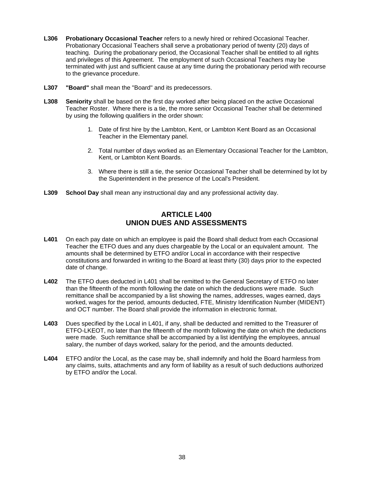- **L306 Probationary Occasional Teacher** refers to a newly hired or rehired Occasional Teacher. Probationary Occasional Teachers shall serve a probationary period of twenty (20) days of teaching. During the probationary period, the Occasional Teacher shall be entitled to all rights and privileges of this Agreement. The employment of such Occasional Teachers may be terminated with just and sufficient cause at any time during the probationary period with recourse to the grievance procedure.
- **L307 "Board"** shall mean the "Board" and its predecessors.
- **L308 Seniority** shall be based on the first day worked after being placed on the active Occasional Teacher Roster. Where there is a tie, the more senior Occasional Teacher shall be determined by using the following qualifiers in the order shown:
	- 1. Date of first hire by the Lambton, Kent, or Lambton Kent Board as an Occasional Teacher in the Elementary panel.
	- 2. Total number of days worked as an Elementary Occasional Teacher for the Lambton, Kent, or Lambton Kent Boards.
	- 3. Where there is still a tie, the senior Occasional Teacher shall be determined by lot by the Superintendent in the presence of the Local's President.
- <span id="page-40-0"></span>**L309 School Day** shall mean any instructional day and any professional activity day.

# **ARTICLE L400 UNION DUES AND ASSESSMENTS**

- **L401** On each pay date on which an employee is paid the Board shall deduct from each Occasional Teacher the ETFO dues and any dues chargeable by the Local or an equivalent amount. The amounts shall be determined by ETFO and/or Local in accordance with their respective constitutions and forwarded in writing to the Board at least thirty (30) days prior to the expected date of change.
- **L402** The ETFO dues deducted in L401 shall be remitted to the General Secretary of ETFO no later than the fifteenth of the month following the date on which the deductions were made. Such remittance shall be accompanied by a list showing the names, addresses, wages earned, days worked, wages for the period, amounts deducted, FTE, Ministry Identification Number (MIDENT) and OCT number. The Board shall provide the information in electronic format.
- **L403** Dues specified by the Local in L401, if any, shall be deducted and remitted to the Treasurer of ETFO-LKEOT, no later than the fifteenth of the month following the date on which the deductions were made. Such remittance shall be accompanied by a list identifying the employees, annual salary, the number of days worked, salary for the period, and the amounts deducted.
- **L404** ETFO and/or the Local, as the case may be, shall indemnify and hold the Board harmless from any claims, suits, attachments and any form of liability as a result of such deductions authorized by ETFO and/or the Local.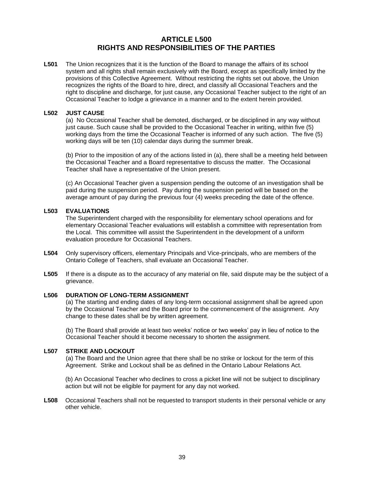# **ARTICLE L500 RIGHTS AND RESPONSIBILITIES OF THE PARTIES**

<span id="page-41-0"></span>**L501** The Union recognizes that it is the function of the Board to manage the affairs of its school system and all rights shall remain exclusively with the Board, except as specifically limited by the provisions of this Collective Agreement. Without restricting the rights set out above, the Union recognizes the rights of the Board to hire, direct, and classify all Occasional Teachers and the right to discipline and discharge, for just cause, any Occasional Teacher subject to the right of an Occasional Teacher to lodge a grievance in a manner and to the extent herein provided.

### **L502 JUST CAUSE**

(a) No Occasional Teacher shall be demoted, discharged, or be disciplined in any way without just cause. Such cause shall be provided to the Occasional Teacher in writing, within five (5) working days from the time the Occasional Teacher is informed of any such action. The five (5) working days will be ten (10) calendar days during the summer break.

(b) Prior to the imposition of any of the actions listed in (a), there shall be a meeting held between the Occasional Teacher and a Board representative to discuss the matter. The Occasional Teacher shall have a representative of the Union present.

(c) An Occasional Teacher given a suspension pending the outcome of an investigation shall be paid during the suspension period. Pay during the suspension period will be based on the average amount of pay during the previous four (4) weeks preceding the date of the offence.

### **L503 EVALUATIONS**

The Superintendent charged with the responsibility for elementary school operations and for elementary Occasional Teacher evaluations will establish a committee with representation from the Local. This committee will assist the Superintendent in the development of a uniform evaluation procedure for Occasional Teachers.

- **L504** Only supervisory officers, elementary Principals and Vice-principals, who are members of the Ontario College of Teachers, shall evaluate an Occasional Teacher.
- **L505** If there is a dispute as to the accuracy of any material on file, said dispute may be the subject of a grievance.

# **L506 DURATION OF LONG-TERM ASSIGNMENT**

(a) The starting and ending dates of any long-term occasional assignment shall be agreed upon by the Occasional Teacher and the Board prior to the commencement of the assignment. Any change to these dates shall be by written agreement.

(b) The Board shall provide at least two weeks' notice or two weeks' pay in lieu of notice to the Occasional Teacher should it become necessary to shorten the assignment.

### **L507 STRIKE AND LOCKOUT**

(a) The Board and the Union agree that there shall be no strike or lockout for the term of this Agreement. Strike and Lockout shall be as defined in the Ontario Labour Relations Act.

(b) An Occasional Teacher who declines to cross a picket line will not be subject to disciplinary action but will not be eligible for payment for any day not worked.

**L508** Occasional Teachers shall not be requested to transport students in their personal vehicle or any other vehicle.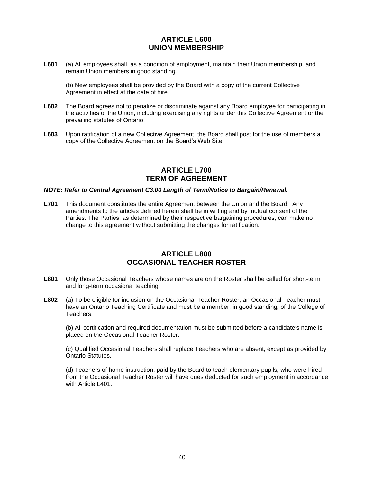# **ARTICLE L600 UNION MEMBERSHIP**

<span id="page-42-0"></span>**L601** (a) All employees shall, as a condition of employment, maintain their Union membership, and remain Union members in good standing.

(b) New employees shall be provided by the Board with a copy of the current Collective Agreement in effect at the date of hire.

- **L602** The Board agrees not to penalize or discriminate against any Board employee for participating in the activities of the Union, including exercising any rights under this Collective Agreement or the prevailing statutes of Ontario.
- <span id="page-42-1"></span>**L603** Upon ratification of a new Collective Agreement, the Board shall post for the use of members a copy of the Collective Agreement on the Board's Web Site.

# **ARTICLE L700 TERM OF AGREEMENT**

### *NOTE: Refer to Central Agreement C3.00 Length of Term/Notice to Bargain/Renewal.*

**L701** This document constitutes the entire Agreement between the Union and the Board. Any amendments to the articles defined herein shall be in writing and by mutual consent of the Parties. The Parties, as determined by their respective bargaining procedures, can make no change to this agreement without submitting the changes for ratification.

# **ARTICLE L800 OCCASIONAL TEACHER ROSTER**

- <span id="page-42-2"></span>**L801** Only those Occasional Teachers whose names are on the Roster shall be called for short-term and long-term occasional teaching.
- **L802** (a) To be eligible for inclusion on the Occasional Teacher Roster, an Occasional Teacher must have an Ontario Teaching Certificate and must be a member, in good standing, of the College of Teachers.

(b) All certification and required documentation must be submitted before a candidate's name is placed on the Occasional Teacher Roster.

(c) Qualified Occasional Teachers shall replace Teachers who are absent, except as provided by Ontario Statutes.

(d) Teachers of home instruction, paid by the Board to teach elementary pupils, who were hired from the Occasional Teacher Roster will have dues deducted for such employment in accordance with Article L401.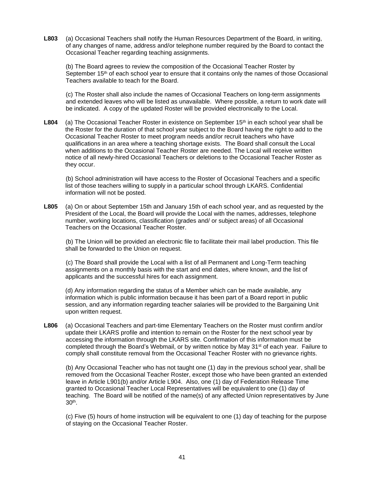**L803** (a) Occasional Teachers shall notify the Human Resources Department of the Board, in writing, of any changes of name, address and/or telephone number required by the Board to contact the Occasional Teacher regarding teaching assignments.

(b) The Board agrees to review the composition of the Occasional Teacher Roster by September 15<sup>th</sup> of each school year to ensure that it contains only the names of those Occasional Teachers available to teach for the Board.

(c) The Roster shall also include the names of Occasional Teachers on long-term assignments and extended leaves who will be listed as unavailable. Where possible, a return to work date will be indicated. A copy of the updated Roster will be provided electronically to the Local.

L804 (a) The Occasional Teacher Roster in existence on September 15<sup>th</sup> in each school year shall be the Roster for the duration of that school year subject to the Board having the right to add to the Occasional Teacher Roster to meet program needs and/or recruit teachers who have qualifications in an area where a teaching shortage exists. The Board shall consult the Local when additions to the Occasional Teacher Roster are needed. The Local will receive written notice of all newly-hired Occasional Teachers or deletions to the Occasional Teacher Roster as they occur.

(b) School administration will have access to the Roster of Occasional Teachers and a specific list of those teachers willing to supply in a particular school through LKARS. Confidential information will not be posted.

L805 (a) On or about September 15th and January 15th of each school year, and as requested by the President of the Local, the Board will provide the Local with the names, addresses, telephone number, working locations, classification (grades and/ or subject areas) of all Occasional Teachers on the Occasional Teacher Roster.

(b) The Union will be provided an electronic file to facilitate their mail label production. This file shall be forwarded to the Union on request.

(c) The Board shall provide the Local with a list of all Permanent and Long-Term teaching assignments on a monthly basis with the start and end dates, where known, and the list of applicants and the successful hires for each assignment.

(d) Any information regarding the status of a Member which can be made available, any information which is public information because it has been part of a Board report in public session, and any information regarding teacher salaries will be provided to the Bargaining Unit upon written request.

**L806** (a) Occasional Teachers and part-time Elementary Teachers on the Roster must confirm and/or update their LKARS profile and intention to remain on the Roster for the next school year by accessing the information through the LKARS site. Confirmation of this information must be completed through the Board's Webmail, or by written notice by May  $31^{st}$  of each year. Failure to comply shall constitute removal from the Occasional Teacher Roster with no grievance rights.

(b) Any Occasional Teacher who has not taught one (1) day in the previous school year, shall be removed from the Occasional Teacher Roster, except those who have been granted an extended leave in Article L901(b) and/or Article L904. Also, one (1) day of Federation Release Time granted to Occasional Teacher Local Representatives will be equivalent to one (1) day of teaching. The Board will be notified of the name(s) of any affected Union representatives by June 30th .

(c) Five (5) hours of home instruction will be equivalent to one (1) day of teaching for the purpose of staying on the Occasional Teacher Roster.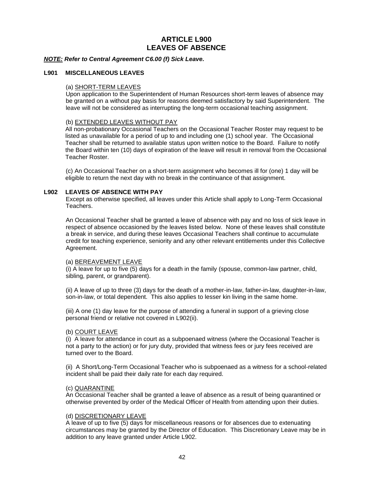# **ARTICLE L900 LEAVES OF ABSENCE**

<span id="page-44-0"></span>*NOTE: Refer to Central Agreement C6.00 (f) Sick Leave.*

### **L901 MISCELLANEOUS LEAVES**

# (a) SHORT-TERM LEAVES

Upon application to the Superintendent of Human Resources short-term leaves of absence may be granted on a without pay basis for reasons deemed satisfactory by said Superintendent. The leave will not be considered as interrupting the long-term occasional teaching assignment.

### (b) EXTENDED LEAVES WITHOUT PAY

All non-probationary Occasional Teachers on the Occasional Teacher Roster may request to be listed as unavailable for a period of up to and including one (1) school year. The Occasional Teacher shall be returned to available status upon written notice to the Board. Failure to notify the Board within ten (10) days of expiration of the leave will result in removal from the Occasional Teacher Roster.

(c) An Occasional Teacher on a short-term assignment who becomes ill for (one) 1 day will be eligible to return the next day with no break in the continuance of that assignment.

### **L902 LEAVES OF ABSENCE WITH PAY**

Except as otherwise specified, all leaves under this Article shall apply to Long-Term Occasional Teachers.

An Occasional Teacher shall be granted a leave of absence with pay and no loss of sick leave in respect of absence occasioned by the leaves listed below. None of these leaves shall constitute a break in service, and during these leaves Occasional Teachers shall continue to accumulate credit for teaching experience, seniority and any other relevant entitlements under this Collective Agreement.

#### (a) BEREAVEMENT LEAVE

(i) A leave for up to five (5) days for a death in the family (spouse, common-law partner, child, sibling, parent, or grandparent).

(ii) A leave of up to three (3) days for the death of a mother-in-law, father-in-law, daughter-in-law, son-in-law, or total dependent. This also applies to lesser kin living in the same home.

(iii) A one (1) day leave for the purpose of attending a funeral in support of a grieving close personal friend or relative not covered in L902(ii).

#### (b) COURT LEAVE

(i) A leave for attendance in court as a subpoenaed witness (where the Occasional Teacher is not a party to the action) or for jury duty, provided that witness fees or jury fees received are turned over to the Board.

(ii) A Short/Long-Term Occasional Teacher who is subpoenaed as a witness for a school-related incident shall be paid their daily rate for each day required.

### (c) QUARANTINE

An Occasional Teacher shall be granted a leave of absence as a result of being quarantined or otherwise prevented by order of the Medical Officer of Health from attending upon their duties.

#### (d) DISCRETIONARY LEAVE

A leave of up to five (5) days for miscellaneous reasons or for absences due to extenuating circumstances may be granted by the Director of Education. This Discretionary Leave may be in addition to any leave granted under Article L902.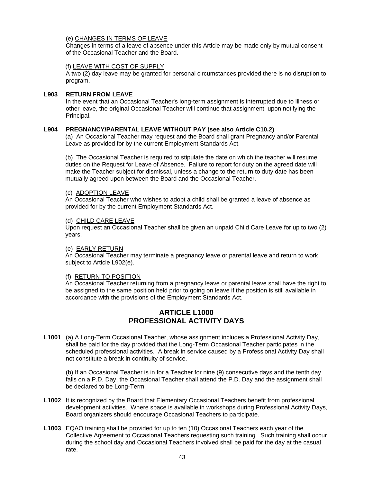### (e) CHANGES IN TERMS OF LEAVE

Changes in terms of a leave of absence under this Article may be made only by mutual consent of the Occasional Teacher and the Board.

### (f) LEAVE WITH COST OF SUPPLY

A two (2) day leave may be granted for personal circumstances provided there is no disruption to program.

### **L903 RETURN FROM LEAVE**

In the event that an Occasional Teacher's long-term assignment is interrupted due to illness or other leave, the original Occasional Teacher will continue that assignment, upon notifying the Principal.

## **L904 PREGNANCY/PARENTAL LEAVE WITHOUT PAY (see also Article C10.2)**

(a) An Occasional Teacher may request and the Board shall grant Pregnancy and/or Parental Leave as provided for by the current Employment Standards Act.

(b) The Occasional Teacher is required to stipulate the date on which the teacher will resume duties on the Request for Leave of Absence. Failure to report for duty on the agreed date will make the Teacher subject for dismissal, unless a change to the return to duty date has been mutually agreed upon between the Board and the Occasional Teacher.

## (c) ADOPTION LEAVE

An Occasional Teacher who wishes to adopt a child shall be granted a leave of absence as provided for by the current Employment Standards Act.

### (d) CHILD CARE LEAVE

Upon request an Occasional Teacher shall be given an unpaid Child Care Leave for up to two (2) years.

### (e) EARLY RETURN

An Occasional Teacher may terminate a pregnancy leave or parental leave and return to work subject to Article L902(e).

### (f) RETURN TO POSITION

<span id="page-45-0"></span>An Occasional Teacher returning from a pregnancy leave or parental leave shall have the right to be assigned to the same position held prior to going on leave if the position is still available in accordance with the provisions of the Employment Standards Act.

# **ARTICLE L1000 PROFESSIONAL ACTIVITY DAYS**

**L1001** (a) A Long-Term Occasional Teacher, whose assignment includes a Professional Activity Day, shall be paid for the day provided that the Long-Term Occasional Teacher participates in the scheduled professional activities. A break in service caused by a Professional Activity Day shall not constitute a break in continuity of service.

(b) If an Occasional Teacher is in for a Teacher for nine (9) consecutive days and the tenth day falls on a P.D. Day, the Occasional Teacher shall attend the P.D. Day and the assignment shall be declared to be Long-Term.

- **L1002** It is recognized by the Board that Elementary Occasional Teachers benefit from professional development activities. Where space is available in workshops during Professional Activity Days, Board organizers should encourage Occasional Teachers to participate.
- **L1003** EQAO training shall be provided for up to ten (10) Occasional Teachers each year of the Collective Agreement to Occasional Teachers requesting such training. Such training shall occur during the school day and Occasional Teachers involved shall be paid for the day at the casual rate.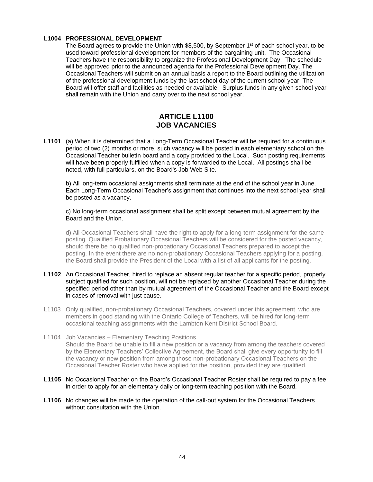### **L1004 PROFESSIONAL DEVELOPMENT**

The Board agrees to provide the Union with  $$8,500$ , by September 1 $st$  of each school year, to be used toward professional development for members of the bargaining unit. The Occasional Teachers have the responsibility to organize the Professional Development Day. The schedule will be approved prior to the announced agenda for the Professional Development Day. The Occasional Teachers will submit on an annual basis a report to the Board outlining the utilization of the professional development funds by the last school day of the current school year. The Board will offer staff and facilities as needed or available. Surplus funds in any given school year shall remain with the Union and carry over to the next school year.

# **ARTICLE L1100 JOB VACANCIES**

<span id="page-46-0"></span>**L1101** (a) When it is determined that a Long-Term Occasional Teacher will be required for a continuous period of two (2) months or more, such vacancy will be posted in each elementary school on the Occasional Teacher bulletin board and a copy provided to the Local. Such posting requirements will have been properly fulfilled when a copy is forwarded to the Local. All postings shall be noted, with full particulars, on the Board's Job Web Site.

b) All long-term occasional assignments shall terminate at the end of the school year in June. Each Long-Term Occasional Teacher's assignment that continues into the next school year shall be posted as a vacancy.

c) No long-term occasional assignment shall be split except between mutual agreement by the Board and the Union.

d) All Occasional Teachers shall have the right to apply for a long-term assignment for the same posting. Qualified Probationary Occasional Teachers will be considered for the posted vacancy, should there be no qualified non-probationary Occasional Teachers prepared to accept the posting. In the event there are no non-probationary Occasional Teachers applying for a posting, the Board shall provide the President of the Local with a list of all applicants for the posting.

- **L1102** An Occasional Teacher, hired to replace an absent regular teacher for a specific period, properly subject qualified for such position, will not be replaced by another Occasional Teacher during the specified period other than by mutual agreement of the Occasional Teacher and the Board except in cases of removal with just cause.
- L1103 Only qualified, non-probationary Occasional Teachers, covered under this agreement, who are members in good standing with the Ontario College of Teachers, will be hired for long-term occasional teaching assignments with the Lambton Kent District School Board.
- L1104 Job Vacancies Elementary Teaching Positions Should the Board be unable to fill a new position or a vacancy from among the teachers covered by the Elementary Teachers' Collective Agreement, the Board shall give every opportunity to fill the vacancy or new position from among those non-probationary Occasional Teachers on the Occasional Teacher Roster who have applied for the position, provided they are qualified.
- **L1105** No Occasional Teacher on the Board's Occasional Teacher Roster shall be required to pay a fee in order to apply for an elementary daily or long-term teaching position with the Board.
- **L1106** No changes will be made to the operation of the call-out system for the Occasional Teachers without consultation with the Union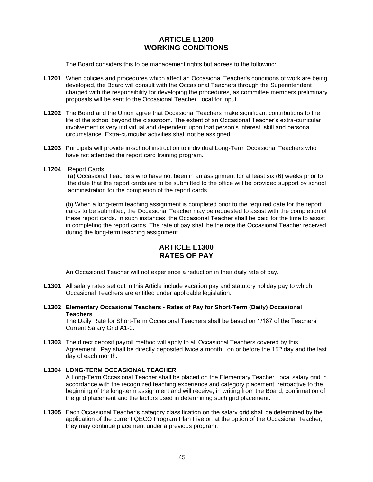# **ARTICLE L1200 WORKING CONDITIONS**

<span id="page-47-0"></span>The Board considers this to be management rights but agrees to the following:

- **L1201** When policies and procedures which affect an Occasional Teacher's conditions of work are being developed, the Board will consult with the Occasional Teachers through the Superintendent charged with the responsibility for developing the procedures, as committee members preliminary proposals will be sent to the Occasional Teacher Local for input.
- **L1202** The Board and the Union agree that Occasional Teachers make significant contributions to the life of the school beyond the classroom. The extent of an Occasional Teacher's extra-curricular involvement is very individual and dependent upon that person's interest, skill and personal circumstance. Extra-curricular activities shall not be assigned.
- **L1203** Principals will provide in-school instruction to individual Long-Term Occasional Teachers who have not attended the report card training program.
- **L1204** Report Cards

(a) Occasional Teachers who have not been in an assignment for at least six (6) weeks prior to the date that the report cards are to be submitted to the office will be provided support by school administration for the completion of the report cards.

(b) When a long-term teaching assignment is completed prior to the required date for the report cards to be submitted, the Occasional Teacher may be requested to assist with the completion of these report cards. In such instances, the Occasional Teacher shall be paid for the time to assist in completing the report cards. The rate of pay shall be the rate the Occasional Teacher received during the long-term teaching assignment.

# **ARTICLE L1300 RATES OF PAY**

<span id="page-47-1"></span>An Occasional Teacher will not experience a reduction in their daily rate of pay.

- **L1301** All salary rates set out in this Article include vacation pay and statutory holiday pay to which Occasional Teachers are entitled under applicable legislation.
- **L1302 Elementary Occasional Teachers - Rates of Pay for Short-Term (Daily) Occasional Teachers**

The Daily Rate for Short-Term Occasional Teachers shall be based on 1/187 of the Teachers' Current Salary Grid A1-0.

**L1303** The direct deposit payroll method will apply to all Occasional Teachers covered by this Agreement. Pay shall be directly deposited twice a month: on or before the 15<sup>th</sup> day and the last day of each month.

### **L1304 LONG-TERM OCCASIONAL TEACHER**

A Long-Term Occasional Teacher shall be placed on the Elementary Teacher Local salary grid in accordance with the recognized teaching experience and category placement, retroactive to the beginning of the long-term assignment and will receive, in writing from the Board, confirmation of the grid placement and the factors used in determining such grid placement.

**L1305** Each Occasional Teacher's category classification on the salary grid shall be determined by the application of the current QECO Program Plan Five or, at the option of the Occasional Teacher, they may continue placement under a previous program.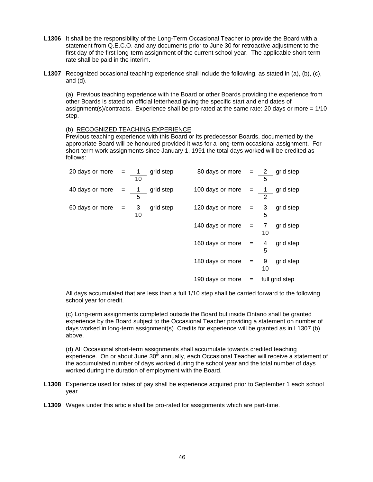- **L1306** It shall be the responsibility of the Long-Term Occasional Teacher to provide the Board with a statement from Q.E.C.O. and any documents prior to June 30 for retroactive adjustment to the first day of the first long-term assignment of the current school year. The applicable short-term rate shall be paid in the interim.
- **L1307** Recognized occasional teaching experience shall include the following, as stated in (a), (b), (c), and (d).

(a) Previous teaching experience with the Board or other Boards providing the experience from other Boards is stated on official letterhead giving the specific start and end dates of assignment(s)/contracts. Experience shall be pro-rated at the same rate: 20 days or more  $= 1/10$ step.

### (b) RECOGNIZED TEACHING EXPERIENCE

Previous teaching experience with this Board or its predecessor Boards, documented by the appropriate Board will be honoured provided it was for a long-term occasional assignment. For short-term work assignments since January 1, 1991 the total days worked will be credited as follows:

| 20 days or more $=$ $\frac{1}{2}$ grid step<br>10 | 80 days or more $=$ $\frac{2}{2}$ grid step  | 5               |
|---------------------------------------------------|----------------------------------------------|-----------------|
| 40 days or more $=$ $\sqrt{1}$ grid step<br>5     | 100 days or more $=$ $\frac{1}{1}$ grid step | 2               |
| 60 days or more $=$ $\frac{3}{3}$ grid step<br>10 | 120 days or more $=$ $\frac{3}{3}$ grid step |                 |
|                                                   | 140 days or more $=$ $\frac{7}{7}$ grid step | 10              |
|                                                   | 160 days or more $=$ $\frac{4}{4}$ grid step |                 |
|                                                   | 180 days or more $=$ 9                       | grid step<br>10 |
|                                                   | 190 days or more $=$                         | full grid step  |

All days accumulated that are less than a full 1/10 step shall be carried forward to the following school year for credit.

(c) Long-term assignments completed outside the Board but inside Ontario shall be granted experience by the Board subject to the Occasional Teacher providing a statement on number of days worked in long-term assignment(s). Credits for experience will be granted as in L1307 (b) above.

(d) All Occasional short-term assignments shall accumulate towards credited teaching experience. On or about June 30<sup>th</sup> annually, each Occasional Teacher will receive a statement of the accumulated number of days worked during the school year and the total number of days worked during the duration of employment with the Board.

- **L1308** Experience used for rates of pay shall be experience acquired prior to September 1 each school year.
- **L1309** Wages under this article shall be pro-rated for assignments which are part-time.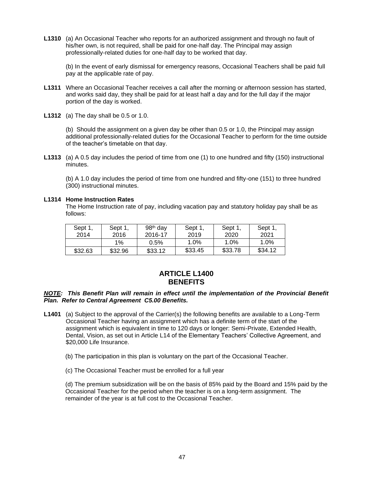**L1310** (a) An Occasional Teacher who reports for an authorized assignment and through no fault of his/her own, is not required, shall be paid for one-half day. The Principal may assign professionally-related duties for one-half day to be worked that day.

(b) In the event of early dismissal for emergency reasons, Occasional Teachers shall be paid full pay at the applicable rate of pay.

- **L1311** Where an Occasional Teacher receives a call after the morning or afternoon session has started, and works said day, they shall be paid for at least half a day and for the full day if the major portion of the day is worked.
- **L1312** (a) The day shall be 0.5 or 1.0.

(b) Should the assignment on a given day be other than 0.5 or 1.0, the Principal may assign additional professionally-related duties for the Occasional Teacher to perform for the time outside of the teacher's timetable on that day.

**L1313** (a) A 0.5 day includes the period of time from one (1) to one hundred and fifty (150) instructional minutes.

(b) A 1.0 day includes the period of time from one hundred and fifty-one (151) to three hundred (300) instructional minutes.

### **L1314 Home Instruction Rates**

The Home Instruction rate of pay, including vacation pay and statutory holiday pay shall be as follows:

| Sept 1, | Sept 1. | 98 <sup>th</sup> day | Sept 1. | Sept 1, | Sept 1, |
|---------|---------|----------------------|---------|---------|---------|
| 2014    | 2016    | 2016-17              | 2019    | 2020    | 2021    |
|         | $1\%$   | $0.5\%$              | $1.0\%$ | $1.0\%$ | $1.0\%$ |
| \$32.63 | \$32.96 | \$33.12              | \$33.45 | \$33.78 | \$34.12 |

# **ARTICLE L1400 BENEFITS**

### <span id="page-49-0"></span>*NOTE: This Benefit Plan will remain in effect until the implementation of the Provincial Benefit Plan. Refer to Central Agreement C5.00 Benefits.*

**L1401** (a) Subject to the approval of the Carrier(s) the following benefits are available to a Long-Term Occasional Teacher having an assignment which has a definite term of the start of the assignment which is equivalent in time to 120 days or longer: Semi-Private, Extended Health, Dental, Vision, as set out in Article L14 of the Elementary Teachers' Collective Agreement, and \$20,000 Life Insurance.

(b) The participation in this plan is voluntary on the part of the Occasional Teacher.

(c) The Occasional Teacher must be enrolled for a full year

(d) The premium subsidization will be on the basis of 85% paid by the Board and 15% paid by the Occasional Teacher for the period when the teacher is on a long-term assignment. The remainder of the year is at full cost to the Occasional Teacher.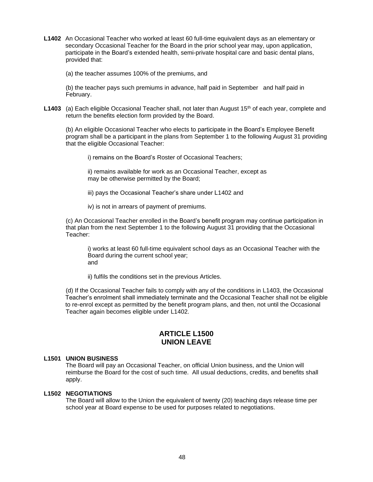- **L1402** An Occasional Teacher who worked at least 60 full-time equivalent days as an elementary or secondary Occasional Teacher for the Board in the prior school year may, upon application, participate in the Board's extended health, semi-private hospital care and basic dental plans, provided that:
	- (a) the teacher assumes 100% of the premiums, and

(b) the teacher pays such premiums in advance, half paid in September and half paid in February.

L1403 (a) Each eligible Occasional Teacher shall, not later than August 15<sup>th</sup> of each year, complete and return the benefits election form provided by the Board.

(b) An eligible Occasional Teacher who elects to participate in the Board's Employee Benefit program shall be a participant in the plans from September 1 to the following August 31 providing that the eligible Occasional Teacher:

i) remains on the Board's Roster of Occasional Teachers;

ii) remains available for work as an Occasional Teacher, except as may be otherwise permitted by the Board;

iii) pays the Occasional Teacher's share under L1402 and

iv) is not in arrears of payment of premiums.

(c) An Occasional Teacher enrolled in the Board's benefit program may continue participation in that plan from the next September 1 to the following August 31 providing that the Occasional Teacher:

i) works at least 60 full-time equivalent school days as an Occasional Teacher with the Board during the current school year; and

ii) fulfils the conditions set in the previous Articles.

(d) If the Occasional Teacher fails to comply with any of the conditions in L1403, the Occasional Teacher's enrolment shall immediately terminate and the Occasional Teacher shall not be eligible to re-enrol except as permitted by the benefit program plans, and then, not until the Occasional Teacher again becomes eligible under L1402.

# **ARTICLE L1500 UNION LEAVE**

### <span id="page-50-0"></span>**L1501 UNION BUSINESS**

The Board will pay an Occasional Teacher, on official Union business, and the Union will reimburse the Board for the cost of such time. All usual deductions, credits, and benefits shall apply.

### **L1502 NEGOTIATIONS**

The Board will allow to the Union the equivalent of twenty (20) teaching days release time per school year at Board expense to be used for purposes related to negotiations.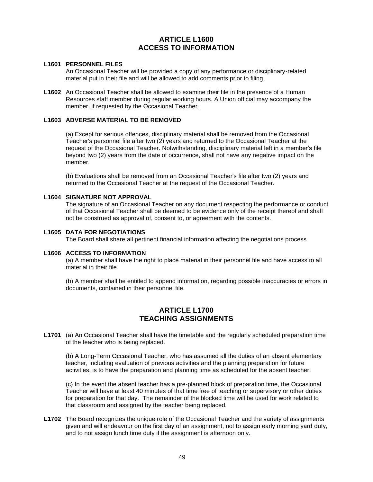# **ARTICLE L1600 ACCESS TO INFORMATION**

### <span id="page-51-0"></span>**L1601 PERSONNEL FILES**

An Occasional Teacher will be provided a copy of any performance or disciplinary-related material put in their file and will be allowed to add comments prior to filing.

**L1602** An Occasional Teacher shall be allowed to examine their file in the presence of a Human Resources staff member during regular working hours. A Union official may accompany the member, if requested by the Occasional Teacher.

### **L1603 ADVERSE MATERIAL TO BE REMOVED**

(a) Except for serious offences, disciplinary material shall be removed from the Occasional Teacher's personnel file after two (2) years and returned to the Occasional Teacher at the request of the Occasional Teacher. Notwithstanding, disciplinary material left in a member's file beyond two (2) years from the date of occurrence, shall not have any negative impact on the member.

(b) Evaluations shall be removed from an Occasional Teacher's file after two (2) years and returned to the Occasional Teacher at the request of the Occasional Teacher.

### **L1604 SIGNATURE NOT APPROVAL**

The signature of an Occasional Teacher on any document respecting the performance or conduct of that Occasional Teacher shall be deemed to be evidence only of the receipt thereof and shall not be construed as approval of, consent to, or agreement with the contents.

#### **L1605 DATA FOR NEGOTIATIONS**

The Board shall share all pertinent financial information affecting the negotiations process.

#### **L1606 ACCESS TO INFORMATION**

(a) A member shall have the right to place material in their personnel file and have access to all material in their file.

<span id="page-51-1"></span>(b) A member shall be entitled to append information, regarding possible inaccuracies or errors in documents, contained in their personnel file.

# **ARTICLE L1700 TEACHING ASSIGNMENTS**

**L1701** (a) An Occasional Teacher shall have the timetable and the regularly scheduled preparation time of the teacher who is being replaced.

(b) A Long-Term Occasional Teacher, who has assumed all the duties of an absent elementary teacher, including evaluation of previous activities and the planning preparation for future activities, is to have the preparation and planning time as scheduled for the absent teacher.

(c) In the event the absent teacher has a pre-planned block of preparation time, the Occasional Teacher will have at least 40 minutes of that time free of teaching or supervisory or other duties for preparation for that day. The remainder of the blocked time will be used for work related to that classroom and assigned by the teacher being replaced.

**L1702** The Board recognizes the unique role of the Occasional Teacher and the variety of assignments given and will endeavour on the first day of an assignment, not to assign early morning yard duty, and to not assign lunch time duty if the assignment is afternoon only.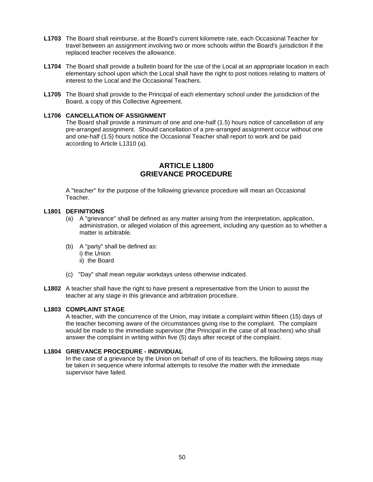- **L1703** The Board shall reimburse, at the Board's current kilometre rate, each Occasional Teacher for travel between an assignment involving two or more schools within the Board's jurisdiction if the replaced teacher receives the allowance.
- L1704 The Board shall provide a bulletin board for the use of the Local at an appropriate location in each elementary school upon which the Local shall have the right to post notices relating to matters of interest to the Local and the Occasional Teachers.
- **L1705** The Board shall provide to the Principal of each elementary school under the jurisdiction of the Board, a copy of this Collective Agreement.

### **L1706 CANCELLATION OF ASSIGNMENT**

The Board shall provide a minimum of one and one-half (1.5) hours notice of cancellation of any pre-arranged assignment. Should cancellation of a pre-arranged assignment occur without one and one-half (1.5) hours notice the Occasional Teacher shall report to work and be paid according to Article L1310 (a).

# **ARTICLE L1800 GRIEVANCE PROCEDURE**

<span id="page-52-0"></span>A "teacher" for the purpose of the following grievance procedure will mean an Occasional Teacher.

### **L1801 DEFINITIONS**

- (a) A "grievance" shall be defined as any matter arising from the interpretation, application, administration, or alleged violation of this agreement, including any question as to whether a matter is arbitrable.
- (b) A "party" shall be defined as: i) the Union ii) the Board
- (c) "Day" shall mean regular workdays unless otherwise indicated.
- **L1802** A teacher shall have the right to have present a representative from the Union to assist the teacher at any stage in this grievance and arbitration procedure.

### **L1803 COMPLAINT STAGE**

A teacher, with the concurrence of the Union, may initiate a complaint within fifteen (15) days of the teacher becoming aware of the circumstances giving rise to the complaint. The complaint would be made to the immediate supervisor (the Principal in the case of all teachers) who shall answer the complaint in writing within five (5) days after receipt of the complaint.

### **L1804 GRIEVANCE PROCEDURE - INDIVIDUAL**

In the case of a grievance by the Union on behalf of one of its teachers, the following steps may be taken in sequence where informal attempts to resolve the matter with the immediate supervisor have failed.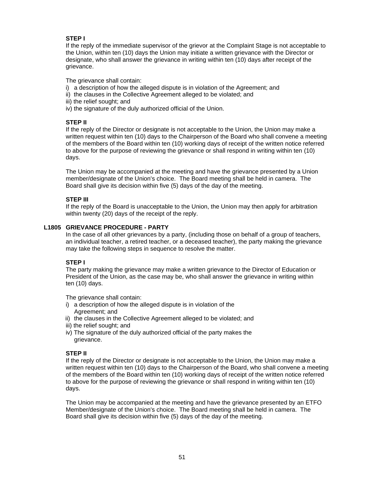# **STEP I**

If the reply of the immediate supervisor of the grievor at the Complaint Stage is not acceptable to the Union, within ten (10) days the Union may initiate a written grievance with the Director or designate, who shall answer the grievance in writing within ten (10) days after receipt of the grievance.

The grievance shall contain:

- i) a description of how the alleged dispute is in violation of the Agreement; and
- ii) the clauses in the Collective Agreement alleged to be violated; and
- iii) the relief sought; and
- iv) the signature of the duly authorized official of the Union.

# **STEP II**

If the reply of the Director or designate is not acceptable to the Union, the Union may make a written request within ten (10) days to the Chairperson of the Board who shall convene a meeting of the members of the Board within ten (10) working days of receipt of the written notice referred to above for the purpose of reviewing the grievance or shall respond in writing within ten (10) days.

The Union may be accompanied at the meeting and have the grievance presented by a Union member/designate of the Union's choice. The Board meeting shall be held in camera. The Board shall give its decision within five (5) days of the day of the meeting.

## **STEP III**

If the reply of the Board is unacceptable to the Union, the Union may then apply for arbitration within twenty (20) days of the receipt of the reply.

## **L1805 GRIEVANCE PROCEDURE - PARTY**

In the case of all other grievances by a party, (including those on behalf of a group of teachers, an individual teacher, a retired teacher, or a deceased teacher), the party making the grievance may take the following steps in sequence to resolve the matter.

# **STEP I**

The party making the grievance may make a written grievance to the Director of Education or President of the Union, as the case may be, who shall answer the grievance in writing within ten (10) days.

The grievance shall contain:

- i) a description of how the alleged dispute is in violation of the Agreement; and
- ii) the clauses in the Collective Agreement alleged to be violated; and
- iii) the relief sought; and
- iv) The signature of the duly authorized official of the party makes the grievance.

### **STEP II**

If the reply of the Director or designate is not acceptable to the Union, the Union may make a written request within ten (10) days to the Chairperson of the Board, who shall convene a meeting of the members of the Board within ten (10) working days of receipt of the written notice referred to above for the purpose of reviewing the grievance or shall respond in writing within ten (10) days.

The Union may be accompanied at the meeting and have the grievance presented by an ETFO Member/designate of the Union's choice. The Board meeting shall be held in camera. The Board shall give its decision within five (5) days of the day of the meeting.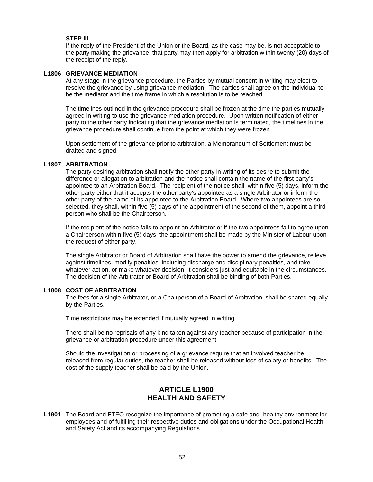### **STEP III**

If the reply of the President of the Union or the Board, as the case may be, is not acceptable to the party making the grievance, that party may then apply for arbitration within twenty (20) days of the receipt of the reply.

### **L1806 GRIEVANCE MEDIATION**

At any stage in the grievance procedure, the Parties by mutual consent in writing may elect to resolve the grievance by using grievance mediation. The parties shall agree on the individual to be the mediator and the time frame in which a resolution is to be reached.

The timelines outlined in the grievance procedure shall be frozen at the time the parties mutually agreed in writing to use the grievance mediation procedure. Upon written notification of either party to the other party indicating that the grievance mediation is terminated, the timelines in the grievance procedure shall continue from the point at which they were frozen.

Upon settlement of the grievance prior to arbitration, a Memorandum of Settlement must be drafted and signed.

### **L1807 ARBITRATION**

The party desiring arbitration shall notify the other party in writing of its desire to submit the difference or allegation to arbitration and the notice shall contain the name of the first party's appointee to an Arbitration Board. The recipient of the notice shall, within five (5) days, inform the other party either that it accepts the other party's appointee as a single Arbitrator or inform the other party of the name of its appointee to the Arbitration Board. Where two appointees are so selected, they shall, within five (5) days of the appointment of the second of them, appoint a third person who shall be the Chairperson.

If the recipient of the notice fails to appoint an Arbitrator or if the two appointees fail to agree upon a Chairperson within five (5) days, the appointment shall be made by the Minister of Labour upon the request of either party.

The single Arbitrator or Board of Arbitration shall have the power to amend the grievance, relieve against timelines, modify penalties, including discharge and disciplinary penalties, and take whatever action, or make whatever decision, it considers just and equitable in the circumstances. The decision of the Arbitrator or Board of Arbitration shall be binding of both Parties.

#### **L1808 COST OF ARBITRATION**

The fees for a single Arbitrator, or a Chairperson of a Board of Arbitration, shall be shared equally by the Parties.

Time restrictions may be extended if mutually agreed in writing.

There shall be no reprisals of any kind taken against any teacher because of participation in the grievance or arbitration procedure under this agreement.

Should the investigation or processing of a grievance require that an involved teacher be released from regular duties, the teacher shall be released without loss of salary or benefits. The cost of the supply teacher shall be paid by the Union.

# **ARTICLE L1900 HEALTH AND SAFETY**

<span id="page-54-0"></span>**L1901** The Board and ETFO recognize the importance of promoting a safe and healthy environment for employees and of fulfilling their respective duties and obligations under the Occupational Health and Safety Act and its accompanying Regulations.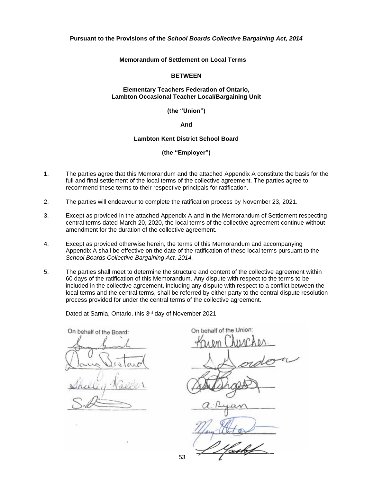#### <span id="page-55-0"></span>**Pursuant to the Provisions of the** *School Boards Collective Bargaining Act, 2014*

**Memorandum of Settlement on Local Terms**

#### **BETWEEN**

### **Elementary Teachers Federation of Ontario, Lambton Occasional Teacher Local/Bargaining Unit**

**(the "Union")**

**And**

#### **Lambton Kent District School Board**

**(the "Employer")**

- 1. The parties agree that this Memorandum and the attached Appendix A constitute the basis for the full and final settlement of the local terms of the collective agreement. The parties agree to recommend these terms to their respective principals for ratification.
- 2. The parties will endeavour to complete the ratification process by November 23, 2021.
- 3. Except as provided in the attached Appendix A and in the Memorandum of Settlement respecting central terms dated March 20, 2020, the local terms of the collective agreement continue without amendment for the duration of the collective agreement.
- 4. Except as provided otherwise herein, the terms of this Memorandum and accompanying Appendix A shall be effective on the date of the ratification of these local terms pursuant to the *School Boards Collective Bargaining Act, 2014.*
- 5. The parties shall meet to determine the structure and content of the collective agreement within 60 days of the ratification of this Memorandum. Any dispute with respect to the terms to be included in the collective agreement, including any dispute with respect to a conflict between the local terms and the central terms, shall be referred by either party to the central dispute resolution process provided for under the central terms of the collective agreement.

Dated at Sarnia, Ontario, this 3<sup>rd</sup> day of November 2021

On behalf of the Board:

On behalf of the Union:

 $f$  Hastof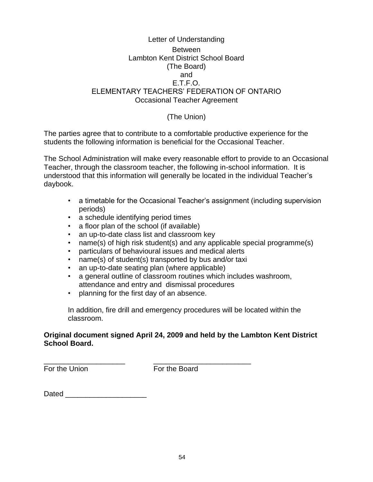# <span id="page-56-0"></span>Letter of Understanding Between Lambton Kent District School Board (The Board) and E.T.F.O. ELEMENTARY TEACHERS' FEDERATION OF ONTARIO Occasional Teacher Agreement

# (The Union)

The parties agree that to contribute to a comfortable productive experience for the students the following information is beneficial for the Occasional Teacher.

The School Administration will make every reasonable effort to provide to an Occasional Teacher, through the classroom teacher, the following in-school information. It is understood that this information will generally be located in the individual Teacher's daybook.

- a timetable for the Occasional Teacher's assignment (including supervision periods)
- a schedule identifying period times
- a floor plan of the school (if available)
- an up-to-date class list and classroom key
- name(s) of high risk student(s) and any applicable special programme(s)
- particulars of behavioural issues and medical alerts
- name(s) of student(s) transported by bus and/or taxi
- an up-to-date seating plan (where applicable)
- a general outline of classroom routines which includes washroom, attendance and entry and dismissal procedures
- planning for the first day of an absence.

In addition, fire drill and emergency procedures will be located within the classroom.

# **Original document signed April 24, 2009 and held by the Lambton Kent District School Board.**

\_\_\_\_\_\_\_\_\_\_\_\_\_\_\_\_\_\_\_\_ \_\_\_\_\_\_\_\_\_\_\_\_\_\_\_\_\_\_\_\_\_\_\_\_ For the Union **For the Board**